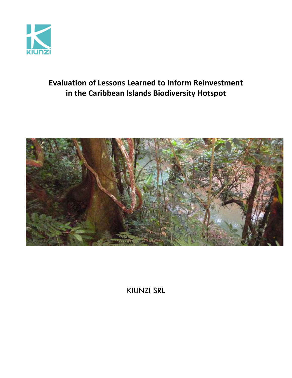

# **Evaluation of Lessons Learned to Inform Reinvestment in the Caribbean Islands Biodiversity Hotspot**



KIUNZI SRL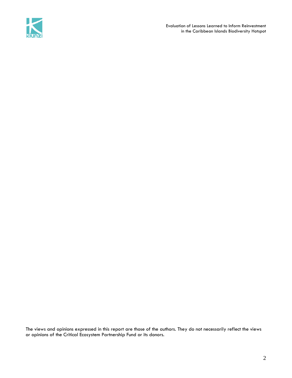

Evaluation of Lessons Learned to Inform Reinvestment in the Caribbean Islands Biodiversity Hotspot

The views and opinions expressed in this report are those of the authors. They do not necessarily reflect the views or opinions of the Critical Ecosystem Partnership Fund or its donors.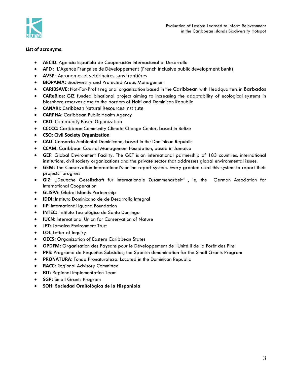

# **List of acronyms:**

- **AECID:** Agencia Española de Cooperación Internacional al Desarrollo
- **AFD :** L'Agence Française de Développement (French inclusive public development bank)
- **AVSF :** Agronomes et vétérinaires sans frontières
- **BIOPAMA:** Biodiversity and Protected Areas Management
- **CARIBSAVE:** Not-For-Profit regional organization based in the [Caribbean](http://en.wikipedia.org/wiki/Caribbean) with Headquarters in [Barbados](http://www.youtube.com/watch?v=7QNd8zSlH34)
- **CAReBios:** GIZ funded binational project aiming to increasing the adaptability of ecological systems in biosphere reserves close to the borders of Haiti and Dominican Republic
- **CANARI:** Caribbean Natural Resources Institute
- **CARPHA:** Caribbean Public Health Agency
- **CBO:** Community Based Organization
- **CCCCC:** Caribbean Community Climate Change Center, based in Belize
- **CSO: Civil Society Organization**
- **CAD:** Consorcio Ambiental Dominicano, based in the Dominican Republic
- **CCAM:** Caribbean Coastal Management Foundation, based in Jamaica
- **GEF:** Global Environment Facility. The GEF is an international partnership of 183 countries, international institutions, civil society organizations and the private sector that addresses global environmental issues.
- **GEM:** The Conservation International's online report system. Every grantee used this system to report their projects´ progress
- **GIZ:** "Deutsche Gesellschaft für Internationale Zusammenarbeit" , ie, the German Association for International Cooperation
- **GLISPA**: Global Islands Partnership
- **IDDI:** Instituto Dominicano de de Desarrollo Integral
- **IIF:** International Iguana Foundation
- **INTEC:** Instituto Tecnológico de Santo Domingo
- **IUCN:** International Union for Conservation of Nature
- **JET:** Jamaica Environment Trust
- **LOI:** Letter of Inquiry
- **OECS:** Organization of Eastern Caribbean States
- **OPDFM:** Organisation des Paysans pour le Développement de l'Unité II de la Forêt des Pins
- **PPS:** Programa de Pequeños Subsidios; the Spanish denomination for the Small Grants Program
- **PRONATURA:** Fondo Pronaturaleza. Located in the Dominican Republic
- **RACC:** Regional Advisory Committee
- **RIT:** Regional Implementation Team
- **SGP:** Small Grants Program
- **SOH: Sociedad Ornitológica de la Hispaniola**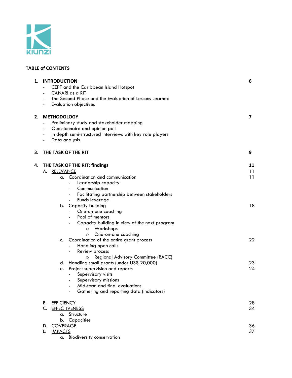

# **TABLE of CONTENTS**

| 1. | <b>INTRODUCTION</b><br>CEPF and the Caribbean Island Hotspot<br>CANARI as a RIT<br>The Second Phase and the Evaluation of Lessons Learned<br><b>Evaluation objectives</b>                                                                                                                                                                                                                                                                                                                                                                                                                                                                                                                                                                 | 6                                      |
|----|-------------------------------------------------------------------------------------------------------------------------------------------------------------------------------------------------------------------------------------------------------------------------------------------------------------------------------------------------------------------------------------------------------------------------------------------------------------------------------------------------------------------------------------------------------------------------------------------------------------------------------------------------------------------------------------------------------------------------------------------|----------------------------------------|
| 2. | <b>METHODOLOGY</b><br>Preliminary study and stakeholder mapping<br>$\blacksquare$<br>Questionnaire and opinion poll<br>$\blacksquare$<br>In depth semi-structured interviews with key role players<br>$\blacksquare$<br>Data analysis<br>$\blacksquare$                                                                                                                                                                                                                                                                                                                                                                                                                                                                                   | 7                                      |
| 3. | THE TASK OF THE RIT                                                                                                                                                                                                                                                                                                                                                                                                                                                                                                                                                                                                                                                                                                                       | 9                                      |
| 4. | THE TASK OF THE RIT: findings<br>A. RELEVANCE<br>a. Coordination and communication<br>Leadership capacity<br>Communication<br>Facilitating partnership between stakeholders<br>Funds leverage<br>b. Capacity building<br>One-on-one coaching<br>Pool of mentors<br>Capacity building in view of the next program<br>Workshops<br>$\circ$<br>One-on-one coaching<br>$\circ$<br>Coordination of the entire grant process<br>c.<br>Handling open calls<br>Review process<br>Regional Advisory Committee (RACC)<br>O<br>Handling small grants (under US\$ 20,000)<br>d.<br>Project supervision and reports<br>e.<br>Supervisory visits<br>Supervisory missions<br>Mid-term and final evaluations<br>Gathering and reporting data (indicators) | 11<br>11<br>11<br>18<br>22<br>23<br>24 |
|    | <b>EFFICIENCY</b><br>В.<br>C. EFFECTIVENESS<br>a. Structure                                                                                                                                                                                                                                                                                                                                                                                                                                                                                                                                                                                                                                                                               | 28<br>34                               |
|    | b. Capacities<br>D. COVERAGE<br><b>IMPACTS</b><br>Е.<br>a. Biodiversity conservation                                                                                                                                                                                                                                                                                                                                                                                                                                                                                                                                                                                                                                                      | 36<br>37                               |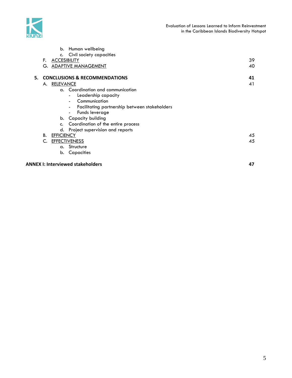

|    |    | b.                  | Human wellbeing                                    |    |
|----|----|---------------------|----------------------------------------------------|----|
|    |    | c.                  | Civil society capacities                           |    |
|    | F. | <b>ACCESIBILITY</b> |                                                    | 39 |
|    | G. |                     | <b>ADAPTIVE MANAGEMENT</b>                         | 40 |
| 5. |    |                     | <b>CONCLUSIONS &amp; RECOMMENDATIONS</b>           | 41 |
|    | А. | <b>RELEVANCE</b>    |                                                    | 41 |
|    |    |                     | a. Coordination and communication                  |    |
|    |    |                     | Leadership capacity                                |    |
|    |    |                     | Communication                                      |    |
|    |    |                     | Facilitating partnership between stakeholders<br>- |    |
|    |    |                     | Funds leverage<br>۰.                               |    |
|    |    |                     | b. Capacity building                               |    |
|    |    | c.                  | Coordination of the entire process                 |    |
|    |    | d.                  | Project supervision and reports                    |    |
|    | В. | <b>EFFICIENCY</b>   |                                                    | 45 |
|    | C. |                     | <b>EFFECTIVENESS</b>                               | 45 |
|    |    | α.                  | Structure                                          |    |
|    |    | b.                  | Capacities                                         |    |
|    |    |                     |                                                    |    |

# **ANNEX I: Interviewed stakeholders 47**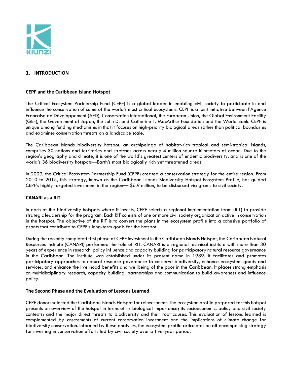

# **1. INTRODUCTION**

## **CEPF and the Caribbean Island Hotspot**

The Critical Ecosystem Partnership Fund (CEPF) is a global leader in enabling civil society to participate in and influence the conservation of some of the world's most critical ecosystems. CEPF is a joint initiative between l'Agence Française de Développement (AFD), Conservation International, the European Union, the Global Environment Facility (GEF), the Government of Japan, the John D. and Catherine T. MacArthur Foundation and the World Bank. CEPF is unique among funding mechanisms in that it focuses on high-priority biological areas rather than political boundaries and examines conservation threats on a landscape scale.

The Caribbean Islands biodiversity hotspot, an archipelago of habitat-rich tropical and semi-tropical islands, comprises 30 nations and territories and stretches across nearly 4 million square kilometers of ocean. Due to the region's geography and climate, it is one of the world's greatest centers of endemic biodiversity, and is one of the world's 36 biodiversity hotspots—Earth's most biologically rich yet threatened areas.

In 2009, the Critical Ecosystem Partnership Fund (CEPF) created a conservation strategy for the entire region. From 2010 to 2015, this strategy, known as the Caribbean Islands Biodiversity Hotspot Ecosystem Profile, has guided CEPF's highly targeted investment in the region— \$6.9 million, to be disbursed via grants to civil society.

#### **CANARI as a RIT**

In each of the biodiversity hotspots where it invests, CEPF selects a regional implementation team (RIT) to provide strategic leadership for the program. Each RIT consists of one or more civil society organization active in conservation in the hotspot. The objective of the RIT is to convert the plans in the ecosystem profile into a cohesive portfolio of grants that contribute to CEPF's long-term goals for the hotspot.

During the recently completed first phase of CEPF investment in the Caribbean Islands Hotspot, the Caribbean Natural Resources Institute (CANARI) performed the role of RIT. CANARI is a regional technical institute with more than 30 years of experience in research, policy influence and capacity building for participatory natural resource governance in the Caribbean. The institute was established under its present name in 1989. It facilitates and promotes participatory approaches to natural resource governance to conserve biodiversity, enhance ecosystem goods and services, and enhance the livelihood benefits and wellbeing of the poor in the Caribbean. It places strong emphasis on multidisciplinary research, capacity building, partnerships and communication to build awareness and influence policy.

#### **The Second Phase and the Evaluation of Lessons Learned**

CEPF donors selected the Caribbean Islands Hotspot for reinvestment. The ecosystem profile prepared for this hotspot presents an overview of the hotspot in terms of its biological importance; its socioeconomic, policy and civil society contexts; and the major direct threats to biodiversity and their root causes. This evaluation of lessons learned is complemented by assessments of current conservation investment and the implications of climate change for biodiversity conservation. Informed by these analyses, the ecosystem profile articulates an all-encompassing strategy for investing in conservation efforts led by civil society over a five-year period.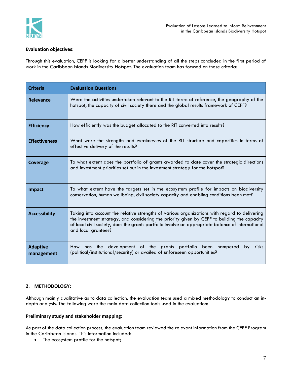

## **Evaluation objectives:**

Through this evaluation, CEPF is looking for a better understanding of all the steps concluded in the first period of work in the Caribbean Islands Biodiversity Hotspot. The evaluation team has focused on these criteria:

| <b>Criteria</b>                                                                                                                                      | <b>Evaluation Questions</b>                                                                                                                                                                                                                                                                                               |  |
|------------------------------------------------------------------------------------------------------------------------------------------------------|---------------------------------------------------------------------------------------------------------------------------------------------------------------------------------------------------------------------------------------------------------------------------------------------------------------------------|--|
| Relevance                                                                                                                                            | Were the activities undertaken relevant to the RIT terms of reference, the geography of the<br>hotspot, the capacity of civil society there and the global results framework of CEPF?                                                                                                                                     |  |
| <b>Efficiency</b>                                                                                                                                    | How efficiently was the budget allocated to the RIT converted into results?                                                                                                                                                                                                                                               |  |
| What were the strengths and weaknesses of the RIT structure and capacities in terms of<br><b>Effectiveness</b><br>effective delivery of the results? |                                                                                                                                                                                                                                                                                                                           |  |
| Coverage                                                                                                                                             | To what extent does the portfolio of grants awarded to date cover the strategic directions<br>and investment priorities set out in the investment strategy for the hotspot?                                                                                                                                               |  |
| Impact                                                                                                                                               | To what extent have the targets set in the ecosystem profile for impacts on biodiversity<br>conservation, human wellbeing, civil society capacity and enabling conditions been met?                                                                                                                                       |  |
| <b>Accessibility</b>                                                                                                                                 | Taking into account the relative strengths of various organizations with regard to delivering<br>the investment strategy, and considering the priority given by CEPF to building the capacity<br>of local civil society, does the grants portfolio involve an appropriate balance of international<br>and local grantees? |  |
| <b>Adaptive</b><br>management                                                                                                                        | How has the development of the grants portfolio been hampered<br>by<br>risks<br>(political/institutional/security) or availed of unforeseen opportunities?                                                                                                                                                                |  |

# **2. METHODOLOGY:**

Although mainly qualitative as to data collection, the evaluation team used a mixed methodology to conduct an indepth analysis. The following were the main data collection tools used in the evaluation:

#### **Preliminary study and stakeholder mapping:**

As part of the data collection process, the evaluation team reviewed the relevant information from the CEPF Program in the Caribbean Islands. This information included:

• The ecosystem profile for the hotspot;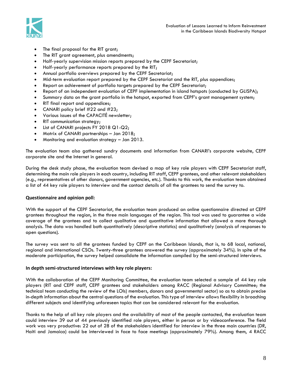

- The final proposal for the RIT grant;
- The RIT grant agreement, plus amendments;
- Half-yearly supervision mission reports prepared by the CEPF Secretariat;
- Half-yearly performance reports prepared by the RIT;
- Annual portfolio overviews prepared by the CEPF Secretariat;
- Mid-term evaluation report prepared by the CEPF Secretariat and the RIT, plus appendices;
- Report on achievement of portfolio targets prepared by the CEPF Secretariat;
- Report of an independent evaluation of CEPF implementation in island hotspots (conducted by GLISPA);
- Summary data on the grant portfolio in the hotspot, exported from CEPF's grant management system;
- RIT final report and appendices;
- CANARI policy brief #22 and #23;
- Various issues of the CAPACITÉ newsletter;
- RIT communication strategy;
- List of CANARI projects FY 2018 Q1-Q2;
- Matrix of CANARI partnerships Jan 2018;
- Monitoring and evaluation strategy Jan 2013.

The evaluation team also gathered sundry documents and information from CANARI's corporate website, CEPF corporate site and the Internet in general.

During the desk study phase, the evaluation team devised a map of key role players with CEPF Secretariat staff, determining the main role players in each country, including RIT staff, CEPF grantees, and other relevant stakeholders (e.g., representatives of other donors, government agencies, etc.). Thanks to this work, the evaluation team obtained a list of 44 key role players to interview and the contact details of all the grantees to send the survey to.

#### **Questionnaire and opinion poll:**

With the support of the CEPF Secretariat, the evaluation team produced an online questionnaire directed at CEPF grantees throughout the region, in the three main languages of the region. This tool was used to guarantee a wide coverage of the grantees and to collect qualitative and quantitative information that allowed a more thorough analysis. The data was handled both quantitatively (descriptive statistics) and qualitatively (analysis of responses to open questions).

The survey was sent to all the grantees funded by CEPF on the Caribbean Islands, that is, to 68 local, national, regional and international CSOs. Twenty-three grantees answered the survey (approximately 34%). In spite of the moderate participation, the survey helped consolidate the information compiled by the semi-structured interviews.

#### **In depth semi-structured interviews with key role players:**

With the collaboration of the CEPF Monitoring Committee, the evaluation team selected a sample of 44 key role players (RIT and CEPF staff, CEPF grantees and stakeholders among RACC (Regional Advisory Committee; the technical team conducting the review of the LOIs) members, donors and governmental sector) so as to obtain precise in-depth information about the central questions of the evaluation. This type of interview allows flexibility in broaching different subjects and identifying unforeseen topics that can be considered relevant for the evaluation.

Thanks to the help of all key role players and the availability of most of the people contacted, the evaluation team could interview 39 out of 44 previously identified role players, either in person or by videoconference. The field work was very productive: 22 out of 28 of the stakeholders identified for interview in the three main countries (DR, Haiti and Jamaica) could be interviewed in face to face meetings (approximately 79%). Among them, 4 RACC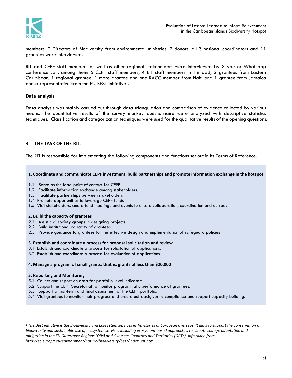

members, 2 Directors of Biodiversity from environmental ministries, 2 donors, all 3 national coordinators and 11 grantees were interviewed.

RIT and CEPF staff members as well as other regional stakeholders were interviewed by Skype or Whatsapp conference call, among them: 5 CEPF staff members, 4 RIT staff members in Trinidad, 2 grantees from Eastern Caribbean, 1 regional grantee, 1 more grantee and one RACC member from Haiti and 1 grantee from Jamaica and a representative from the EU-BEST Initiative<sup>1</sup>.

# **Data analysis**

Data analysis was mainly carried out through data triangulation and comparison of evidence collected by various means. The quantitative results of the survey monkey questionnaire were analyzed with descriptive statistics techniques. Classification and categorization techniques were used for the qualitative results of the opening questions.

# **3. THE TASK OF THE RIT:**

The RIT is responsible for implementing the following components and functions set out in its Terms of Reference:

#### **1. Coordinate and communicate CEPF investment, build partnerships and promote information exchange in the hotspot**

- 1.1. Serve as the lead point of contact for CEPF
- 1.2. Facilitate information exchange among stakeholders.
- 1.3. Facilitate partnerships between stakeholders
- 1.4. Promote opportunities to leverage CEPF funds
- 1.5. Visit stakeholders, and attend meetings and events to ensure collaboration, coordination and outreach.

#### **2. Build the capacity of grantees**

- 2.1. Assist civil society groups in designing projects
- 2.2. Build institutional capacity of grantees
- 2.3. Provide guidance to grantees for the effective design and implementation of safeguard policies

#### **3. Establish and coordinate a process for proposal solicitation and review**

- 3.1. Establish and coordinate a process for solicitation of applications.
- 3.2. Establish and coordinate a process for evaluation of applications.

#### **4. Manage a program of small grants; that is, grants of less than \$20,000**

#### **5. Reporting and Monitoring**

- 5.1. Collect and report on data for portfolio-level indicators.
- 5.2. Support the CEPF Secretariat to monitor programmatic performance of grantees.
- 5.3. Support a mid-term and final assessment of the CEPF portfolio.
- 5.4. Visit grantees to monitor their progress and ensure outreach, verify compliance and support capacity building.

*<sup>1</sup> The Best initiative is the Biodiversity and Ecosystem Services in Territories of European overseas. It aims to support the conservation of biodiversity and sustainable use of ecosystem services including ecosystem-based approaches to climate change adaptation and mitigation in the EU Outermost Regions (ORs) and Overseas Countries and Territories (OCTs). Info taken from http://ec.europa.eu/environment/nature/biodiversity/best/index\_en.htm*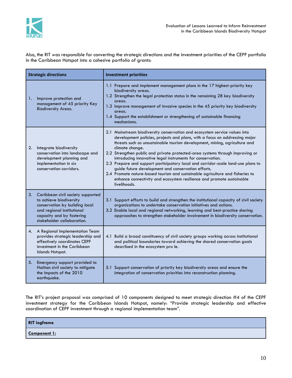

Also, the RIT was responsible for converting the strategic directions and the investment priorities of the CEPF portfolio in the Caribbean Hotspot into a cohesive portfolio of grants:

| <b>Strategic directions</b>                                                                                                                                                                   | <b>Investment priorities</b>                                                                                                                                                                                                                                                                                                                                                                                                                                                                                                                                                                                                                                                                                                 |
|-----------------------------------------------------------------------------------------------------------------------------------------------------------------------------------------------|------------------------------------------------------------------------------------------------------------------------------------------------------------------------------------------------------------------------------------------------------------------------------------------------------------------------------------------------------------------------------------------------------------------------------------------------------------------------------------------------------------------------------------------------------------------------------------------------------------------------------------------------------------------------------------------------------------------------------|
| Improve protection and<br>1.<br>management of 45 priority Key<br><b>Biodiversity Areas.</b>                                                                                                   | 1.1 Prepare and implement management plans in the 17 highest-priority key<br>biodiversity areas.<br>1.2 Strengthen the legal protection status in the remaining 28 key biodiversity<br>areas.<br>1.3 Improve management of invasive species in the 45 priority key biodiversity<br>areas.<br>1.4 Support the establishment or strengthening of sustainable financing<br>mechanisms.                                                                                                                                                                                                                                                                                                                                          |
| 2.<br>Integrate biodiversity<br>conservation into landscape and<br>development planning and<br>implementation in six<br>conservation corridors.                                               | 2.1 Mainstream biodiversity conservation and ecosystem service values into<br>development policies, projects and plans, with a focus on addressing major<br>threats such as unsustainable tourism development, mining, agriculture and<br>climate change.<br>2.2 Strengthen public and private protected-area systems through improving or<br>introducing innovative legal instruments for conservation.<br>2.3 Prepare and support participatory local and corridor-scale land-use plans to<br>guide future development and conservation efforts.<br>2.4 Promote nature-based tourism and sustainable agriculture and fisheries to<br>enhance connectivity and ecosystem resilience and promote sustainable<br>livelihoods. |
| 3.<br>Caribbean civil society supported<br>to achieve biodiversity<br>conservation by building local<br>and regional institutional<br>capacity and by fostering<br>stakeholder collaboration. | 3.1 Support efforts to build and strengthen the institutional capacity of civil society<br>organizations to undertake conservation initiatives and actions.<br>3.2 Enable local and regional networking, learning and best-practice sharing<br>approaches to strengthen stakeholder involvement in biodiversity conservation.                                                                                                                                                                                                                                                                                                                                                                                                |
| 4. A Regional Implementation Team<br>provides strategic leadership and<br>effectively coordinates CEPF<br>investment in the Caribbean<br>Islands Hotspot.                                     | 4.1 Build a broad constituency of civil society groups working across institutional<br>and political boundaries toward achieving the shared conservation goals<br>described in the ecosystem pro le.                                                                                                                                                                                                                                                                                                                                                                                                                                                                                                                         |
| Emergency support provided to<br>5.<br>Haitian civil society to mitigate<br>the impacts of the 2010<br>earthquake.                                                                            | 5.1 Support conservation of priority key biodiversity areas and ensure the<br>integration of conservation priorities into reconstruction planning.                                                                                                                                                                                                                                                                                                                                                                                                                                                                                                                                                                           |

The RIT's project proposal was comprised of 10 components designed to meet strategic direction #4 of the CEPF investment strategy for the Caribbean Islands Hotspot, namely: "Provide strategic leadership and effective coordination of CEPF investment through a regional implementation team".

| <b>RIT logframe</b> |  |
|---------------------|--|
| Component 1:        |  |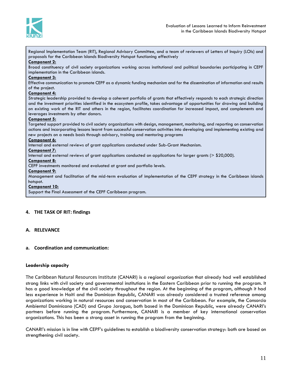

Regional Implementation Team (RIT), Regional Advisory Committee, and a team of reviewers of Letters of Inquiry (LOIs) and proposals for the Caribbean Islands Biodiversity Hotspot functioning effectively **Component 2:** Broad constituency of civil society organizations working across institutional and political boundaries participating in CEPF implementation in the Caribbean islands. **Component 3:** Effective communication to promote CEPF as a dynamic funding mechanism and for the dissemination of information and results of the project.

#### **Component 4:**

Strategic leadership provided to develop a coherent portfolio of grants that effectively responds to each strategic direction and the investment priorities identified in the ecosystem profile, takes advantage of opportunities for drawing and building on existing work of the RIT and others in the region, facilitates coordination for increased impact, and complements and leverages investments by other donors.

#### **Component 5:**

Targeted support provided to civil society organizations with design, management, monitoring, and reporting on conservation actions and incorporating lessons learnt from successful conservation activities into developing and implementing existing and new projects on a needs basis through advisory, training and mentoring programs

#### **Component 6:**

Internal and external reviews of grant applications conducted under Sub-Grant Mechanism.

#### **Component 7:**

Internal and external reviews of grant applications conducted on applications for larger grants (> \$20,000).

#### **Component 8:**

CEPF investments monitored and evaluated at grant and portfolio levels.

#### **Component 9:**

Management and facilitation of the mid-term evaluation of implementation of the CEPF strategy in the Caribbean islands hotspot.

#### **Component 10:**

Support the Final Assessment of the CEPF Caribbean program.

#### **4. THE TASK OF RIT: findings**

#### **A. RELEVANCE**

#### **a. Coordination and communication:**

#### **Leadership capacity**

The Caribbean Natural Resources Institute (CANARI) is a regional organization that already had well established strong links with civil society and governmental institutions in the Eastern Caribbean prior to running the program. It has a good knowledge of the civil society throughout the region. At the beginning of the program, although it had less experience in Haiti and the Dominican Republic, CANARI was already considered a trusted reference among organizations working in natural resources and conservation in most of the Caribbean. For example, the Consorcio Ambiental Dominicano (CAD) and Grupo Jaragua, both based in the Dominican Republic, were already CANARI's partners before running the program. Furthermore, CANARI is a member of key international conservation organizations. This has been a strong asset in running the program from the beginning.

CANARI's mission is in line with CEPF's guidelines to establish a biodiversity conservation strategy: both are based on strengthening civil society.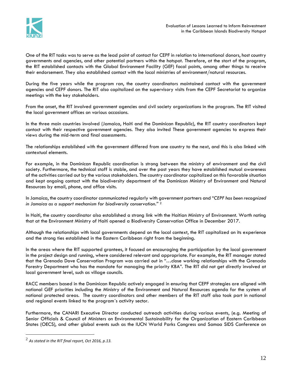

One of the RIT tasks was to serve as the lead point of contact for CEPF in relation to international donors, host country governments and agencies, and other potential partners within the hotspot. Therefore, at the start of the program, the RIT established contacts with the Global Environment Facility (GEF) focal points, among other things to receive their endorsement. They also established contact with the local ministries of environment/natural resources.

During the five years while the program ran, the country coordinators maintained contact with the government agencies and CEPF donors. The RIT also capitalized on the supervisory visits from the CEPF Secretariat to organize meetings with the key stakeholders.

From the onset, the RIT involved government agencies and civil society organizations in the program. The RIT visited the local government offices on various occasions.

In the three main countries involved (Jamaica, Haiti and the Dominican Republic), the RIT country coordinators kept contact with their respective government agencies. They also invited These government agencies to express their views during the mid-term and final assessments.

The relationships established with the government differed from one country to the next, and this is also linked with contextual elements.

For example, in the Dominican Republic coordination is strong between the ministry of environment and the civil society. Furthermore, the technical staff is stable, and over the past years they have established mutual awareness of the activities carried out by the various stakeholders. The country coordinator capitalized on this favorable situation and kept ongoing contact with the biodiversity department of the Dominican Ministry of Environment and Natural Resources by email, phone, and office visits.

In Jamaica, the country coordinator communicated regularly with government partners and "*CEPF has been recognized in Jamaica as a support mechanism for biodiversity conservation."* <sup>2</sup>

In Haiti, the country coordinator also established a strong link with the Haitian Ministry of Environment. Worth noting that at the Environment Ministry of Haiti opened a Biodiversity Conservation Office in December 2017.

Although the relationships with local governments depend on the local context, the RIT capitalized on its experience and the strong ties established in the Eastern Caribbean right from the beginning.

In the areas where the RIT supported grantees, it focused on encouraging the participation by the local government in the project design and running, where considered relevant and appropriate. For example, the RIT manager stated that the Grenada Dove Conservation Program was carried out in "…close working relationships with the Grenada Forestry Department who has the mandate for managing the priority KBA". The RIT did not get directly involved at local government level, such as village councils.

RACC members based in the Dominican Republic actively engaged in ensuring that CEPF strategies are aligned with national GEF priorities including the Ministry of the Environment and Natural Resources agenda for the system of national protected areas. The country coordinators and other members of the RIT staff also took part in national and regional events linked to the program´s activity sector.

Furthermore, the CANARI Executive Director conducted outreach activities during various events, (e.g. Meeting of Senior Officials & Council of Ministers on Environmental Sustainability for the Organization of Eastern Caribbean States (OECS), and other global events such as the IUCN World Parks Congress and Samoa SIDS Conference on

<sup>2</sup> *As stated in the RIT final report, Oct 2016, p.13.*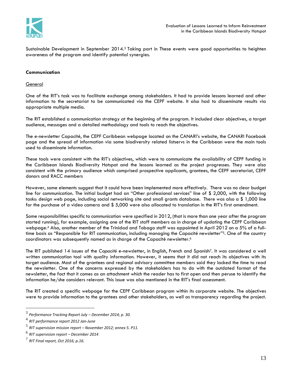

Sustainable Development in September 2014.<sup>3</sup> Taking part in These events were good opportunities to heighten awareness of the program and identify potential synergies.

## **Communication**

#### **General**

One of the RIT's task was to facilitate exchange among stakeholders. It had to provide lessons learned and other information to the secretariat to be communicated via the CEPF website. It also had to disseminate results via appropriate multiple media.

The RIT established a communication strategy at the beginning of the program. It included clear objectives, a target audience, messages and a detailed methodology and tools to reach the objectives.

The e-newsletter Capacité, the CEPF Caribbean webpage located on the CANARI's website, the CANARI Facebook page and the spread of information via some biodiversity related listservs in the Caribbean were the main tools used to disseminate information.

These tools were consistent with the RIT's objectives, which were to communicate the availability of CEPF funding in the Caribbean Islands Biodiversity Hotspot and the lessons learned as the project progresses. They were also consistent with the primary audience which comprised prospective applicants, grantees, the CEPF secretariat, CEPF donors and RACC members

However, some elements suggest that it could have been implemented more effectively. There was no clear budget line for communication. The initial budget had an "Other professional services" line of \$ 2,000, with the following tasks: design web page, including social networking site and small grants database. There was also a \$1,000 line for the purchase of a video camera and \$ 5,000 were also allocated to translation in the RIT's first amendment.

Some responsibilities specific to communication were specified in 2012, (that is more than one year after the program started running), for example, assigning one of the RIT staff members as in charge of updating the CEPF Caribbean webpage. <sup>4</sup> Also, another member of the Trinidad and Tobago staff was appointed in April 2012 on a 5% of a fulltime basis as "Responsible for RIT communication, including managing the Capacité newsletter"<sup>5</sup>. One of the country coordinators was subsequently named as in charge of the Capacité newsletter. 6

The RIT published 14 issues of the *Capacité* e-newsletter, in English, French and Spanish7. It was considered a well written communication tool with quality information. However, it seems that it did not reach its objectives with its target audience. Most of the grantees and regional advisory committee members said they lacked the time to read the newsletter. One of the concerns expressed by the stakeholders has to do with the outdated format of the newsletter, the fact that it comes as an attachment which the reader has to first open and then peruse to identify the information he/she considers relevant. This issue was also mentioned in the RIT's final assessment.

The RIT created a specific webpage for the CEPF Caribbean program within its corporate website. The objectives were to provide information to the grantees and other stakeholders, as well as transparency regarding the project.

<sup>3</sup> *Performance Tracking Report July – December 2014; p. 30.*

<sup>4</sup> *RIT performance report 2012 Jan-June*

<sup>5</sup> *RIT supervision mission report – November 2012; annex 5. P11.*

<sup>6</sup> *RIT supervision report – December 2014*

<sup>7</sup> *RIT Final report, Oct 2016; p.16.*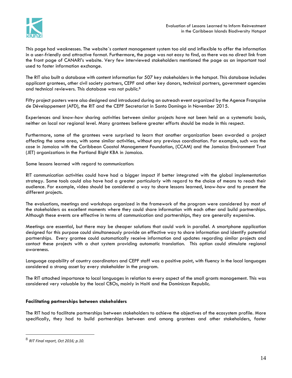

This page had weaknesses. The website´s content management system too old and inflexible to offer the information in a user-friendly and attractive format. Furthermore, the page was not easy to find, as there was no direct link from the front page of CANARI's website. Very few interviewed stakeholders mentioned the page as an important tool used to foster information exchange.

The RIT also built a database with content information for 507 key stakeholders in the hotspot. This database includes applicant grantees, other civil society partners, CEPF and other key donors, technical partners, government agencies and technical reviewers. This database was not public.<sup>8</sup>

Fifty project posters were also designed and introduced during an outreach event organized by the Agence Française de Développement (AFD), the RIT and the CEPF Secretariat in Santo Domingo in November 2015.

Experiences and know-how sharing activities between similar projects have not been held on a systematic basis, neither on local nor regional level. Many grantees believe greater efforts should be made in this respect.

Furthermore, some of the grantees were surprised to learn that another organization been awarded a project affecting the same area, with some similar activities, without any previous coordination. For example, such was the case in Jamaica with the Caribbean Coastal Management Foundation, (CCAM) and the Jamaica Environment Trust (JET) organizations in the Portland Bight KBA in Jamaica.

Some lessons learned with regard to communication:

RIT communication activities could have had a bigger impact if better integrated with the global implementation strategy. Some tools could also have had a greater particularly with regard to the choice of means to reach their audience. For example, video should be considered a way to share lessons learned, know-how and to present the different projects.

The evaluations, meetings and workshops organized in the framework of the program were considered by most of the stakeholders as excellent moments where they could share information with each other and build partnerships. Although these events are effective in terms of communication and partnerships, they are generally expensive.

Meetings are essential, but there may be cheaper solutions that could work in parallel. A smartphone application designed for this purpose could simultaneously provide an effective way to share information and identify potential partnerships. Every grantee could automatically receive information and updates regarding similar projects and contact these projects with a chat system providing automatic translation. This option could stimulate regional awareness.

Language capability of country coordinators and CEPF staff was a positive point, with fluency in the local languages considered a strong asset by every stakeholder in the program.

The RIT attached importance to local languages in relation to every aspect of the small grants management. This was considered very valuable by the local CBOs, mainly in Haiti and the Dominican Republic.

# **Facilitating partnerships between stakeholders**

The RIT had to facilitate partnerships between stakeholders to achieve the objectives of the ecosystem profile. More specifically, they had to build partnerships between and among grantees and other stakeholders, foster

<sup>8</sup> *RIT Final report, Oct 2016; p.10.*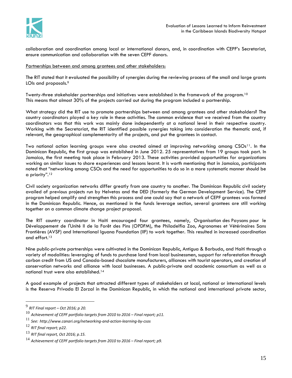

collaboration and coordination among local or international donors, and, in coordination with CEPF's Secretariat, ensure communication and collaboration with the seven CEPF donors.

Partnerships between and among grantees and other stakeholders:

The RIT stated that it evaluated the possibility of synergies during the reviewing process of the small and large grants LOIs and proposals.<sup>9</sup>

Twenty-three stakeholder partnerships and initiatives were established in the framework of the program.<sup>10</sup> This means that almost 30% of the projects carried out during the program included a partnership.

What strategy did the RIT use to promote partnerships between and among grantees and other stakeholders? The country coordinators played a key role in these activities. The common evidence that we received from the country coordinators was that this work was mainly done independently at a national level in their respective country. Working with the Secretariat, the RIT identified possible synergies taking into consideration the thematic and, if relevant, the geographical complementarity of the projects, and put the grantees in contact.

Two national action learning groups were also created aimed at improving networking among CSOs<sup>11</sup>. In the Dominican Republic, the first group was established in June 2012. 25 representatives from 19 groups took part. In Jamaica, the first meeting took place in February 2013. These activities provided opportunities for organizations working on similar issues to share experiences and lessons learnt. It is worth mentioning that in Jamaica, participants noted that "networking among CSOs and the need for opportunities to do so in a more systematic manner should be a priority".<sup>12</sup>

Civil society organization networks differ greatly from one country to another. The Dominican Republic civil society availed of previous projects run by Helvetas and the DED (formerly the German Development Service). The CEPF program helped amplify and strengthen this process and one could say that a network of CEPF grantees was formed in the Dominican Republic. Hence, as mentioned in the funds leverage section, several grantees are still working together on a common climate change project proposal.

The RIT country coordinator in Haiti encouraged four grantees, namely, Organisation des Paysans pour le Développement de l'Unité II de la Forêt des Pins (OPDFM), the Philadelfia Zoo, Agronomes et Vétérinaires Sans Frontières (AVSF) and International Iguana Foundation (IIF) to work together. This resulted in increased coordination and effort.<sup>13</sup>

Nine public-private partnerships were cultivated in the Dominican Republic, Antigua & Barbuda, and Haiti through a variety of modalities: leveraging of funds to purchase land from local businessmen, support for reforestation through carbon credit from US and Canada-based chocolate manufacturers, alliances with tourist operators, and creation of conservation networks and alliance with local businesses. A public-private and academic consortium as well as a national trust were also established.<sup>14</sup>

A good example of projects that attracted different types of stakeholders at local, national or international levels is the Reserva Privada El Zorzal in the Dominican Republic, in which the national and international private sector,

<sup>9</sup> *RIT Final report – Oct 2016; p 20.*

<sup>10</sup> *Achievement of CEPF portfolio targets from 2010 to 2016 – Final report; p11.*

<sup>11</sup> *See: http://www.canari.org/networking-and-action-learning-by-csos*

<sup>12</sup> *RIT final report; p22.*

<sup>13</sup> *RIT final report, Oct 2016; p.15.*

<sup>14</sup> *Achievement of CEPF portfolio targets from 2010 to 2016 – Final report; p9.*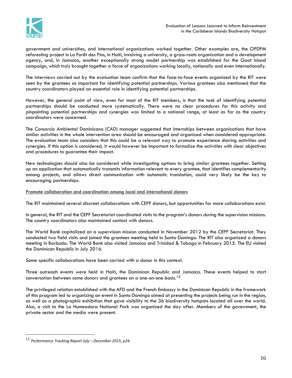

government and universities, and international organizations worked together. Other examples are, the OPDFM reforesting project in La Forêt des Pins, in Haiti, involving a university, a grass-roots organization and a development agency, and, in Jamaica, another exceptionally strong model partnership was established for the Goat Island campaign, which truly brought together a force of organizations working locally, nationally and even internationally.

The interviews carried out by the evaluation team confirm that the face-to-face events organized by the RIT were seen by the grantees as important for identifying potential partnerships. Various grantees also mentioned that the country coordinators played an essential role in identifying potential partnerships.

However, the general point of view, even for most of the RIT members, is that the task of identifying potential partnerships should be conducted more systematically. There were no clear procedures for this activity and pinpointing potential partnerships and synergies was limited to a national range, at least as far as the country coordinators were concerned.

The Consorcio Ambiental Dominicano (CAD) manager suggested that internships between organizations that have similar activities in the whole intervention area should be encouraged and organized when considered appropriate. The evaluation team also considers that this could be a relevant way to promote experience sharing activities and synergies. If this option is considered, it would however be important to formalize the activities with clear objectives and procedures to guarantee their impact.

New technologies should also be considered while investigating options to bring similar grantees together. Setting up an application that automatically transmits information relevant to every grantee, that identifies complementarity among projects, and allows direct communication with automatic translation, could very likely be the key to encouraging partnerships.

## Promote collaboration and coordination among local and international donors

The RIT maintained several discreet collaborations with CEPF donors, but opportunities for more collaborations exist.

In general, the RIT and the CEPF Secretariat coordinated visits to the program's donors during the supervision missions. The country coordinators also maintained contact with donors.

The World Bank capitalized on a supervision mission conducted in November 2012 by the CEPF Secretariat. They conducted two field visits and joined the grantees meeting held in Santo Domingo. The RIT also organized a donors meeting in Barbuda. The World Bank also visited Jamaica and Trinidad & Tobago in February 2015. The EU visited the Dominican Republic in July 2016.

Some specific collaborations have been carried with a donor in this context.

Three outreach events were held in Haiti, the Dominican Republic and Jamaica. These events helped to start conversation between some donors and grantees on a one-on-one basis.<sup>15</sup>

The privileged relation established with the AFD and the French Embassy in the Dominican Republic in the framework of this program led to organizing an event in Santo Domingo aimed at presenting the projects being run in the region, as well as a photographic exhibition that gave visibility to the 36 biodiversity hotspots located all over the world. Also, a visit to the La Humeadora National Park was organized the day after. Members of the government, the private sector and the media were present.

<sup>15</sup> *Performance Tracking Report July – December 2015; p24.*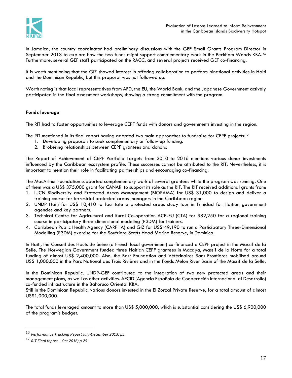

In Jamaica, the country coordinator had preliminary discussions with the GEF Small Grants Program Director in September 2013 to explore how the two funds might support complementary work in the Peckham Woods KBA.*<sup>16</sup>* Furthermore, several GEF staff participated on the RACC, and several projects received GEF co-financing.

It is worth mentioning that the GIZ showed interest in offering collaboration to perform binational activities in Haiti and the Dominican Republic, but this proposal was not followed up.

Worth noting is that local representatives from AFD, the EU, the World Bank, and the Japanese Government actively participated in the final assessment workshops, showing a strong commitment with the program.

# **Funds leverage**

The RIT had to foster opportunities to leverage CEPF funds with donors and governments investing in the region.

The RIT mentioned in its final report having adopted two main approaches to fundraise for CEPF projects:<sup>17</sup>

- 1. Developing proposals to seek complementary or follow-up funding.
- 2. Brokering relationships between CEPF grantees and donors.

The Report of Achievement of CEPF Portfolio Targets from 2010 to 2016 mentions various donor investments influenced by the Caribbean ecosystem profile. These successes cannot be attributed to the RIT. Nevertheless, it is important to mention their role in facilitating partnerships and encouraging co-financing.

The MacArthur Foundation supported complementary work of several grantees while the program was running. One of them was a US\$ 375,000 grant for CANARI to support its role as the RIT. The RIT received additional grants from:

- 1. IUCN Biodiversity and Protected Areas Management (BIOPAMA) for US\$ 31,000 to design and deliver a training course for terrestrial protected areas managers in the Caribbean region.
- 2. UNDP Haiti for US\$ 10,410 to facilitate a protected areas study tour in Trinidad for Haitian government agencies and key partners.
- 3. Technical Centre for Agricultural and Rural Co-operation ACP-EU (CTA) for \$82,250 for a regional training course in participatory three-dimensional modeling (P3DM) for trainers.
- 4. Caribbean Public Health Agency (CARPHA) and GIZ for US\$ 49,190 to run a Participatory Three-Dimensional Modelling (P3DM) exercise for the Soufriere Scotts Head Marine Reserve, in Dominica.

In Haiti, the Conseil des Hauts de Seine (a French local government) co-financed a CEPF project in the Massif de la Selle. The Norwegian Government funded three Haitian CEPF grantees in Macaya, Massif de la Hotte for a total funding of almost US\$ 2,400,000. Also, the Barr Foundation and Vétérinaires Sans Frontières mobilised around US\$ 1,000,000 in the Parc National des Trois Rivières and in the Fonds Melon River Basin of the Massif de la Selle.

In the Dominican Republic, UNDP-GEF contributed to the integration of two new protected areas and their management plans, as well as other activities. AECID (Agencia Española de Cooperación Internacional al Desarrollo) co-funded infrastructure in the Bahoruco Oriental KBA.

Still in the Dominican Republic, various donors invested in the El Zorzal Private Reserve, for a total amount of almost US\$1,000,000.

The total funds leveraged amount to more than US\$ 5,000,000, which is substantial considering the US\$ 6,900,000 of the program's budget.

<sup>16</sup> *Performance Tracking Report July-December 2013; p5.*

<sup>17</sup> *RIT Final report – Oct 2016; p.25*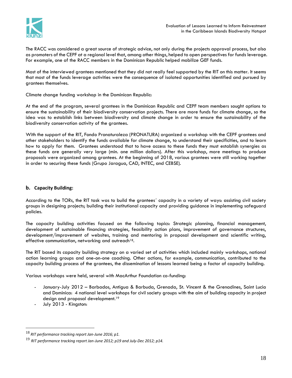

The RACC was considered a great source of strategic advice, not only during the projects approval process, but also as promoters of the CEPF at a regional level that, among other things, helped to open perspectives for funds leverage. For example, one of the RACC members in the Dominican Republic helped mobilize GEF funds.

Most of the interviewed grantees mentioned that they did not really feel supported by the RIT on this matter. It seems that most of the funds leverage activities were the consequence of isolated opportunities identified and pursued by grantees themselves.

Climate change funding workshop in the Dominican Republic:

At the end of the program, several grantees in the Dominican Republic and CEPF team members sought options to ensure the sustainability of their biodiversity conservation projects. There are more funds for climate change, so the idea was to establish links between biodiversity and climate change in order to ensure the sustainability of the biodiversity conservation activity of the grantees.

With the support of the RIT, Fondo Pronaturaleza (PRONATURA) organized a workshop with the CEPF grantees and other stakeholders to identify the funds available for climate change, to understand their specificities, and to learn how to apply for them. Grantees understood that to have access to these funds they must establish synergies as these funds are generally very large (min. one million dollars). After this workshop, more meetings to produce proposals were organized among grantees. At the beginning of 2018, various grantees were still working together in order to securing these funds (Grupo Jaragua, CAD, INTEC, and CEBSE).

# **b. Capacity Building:**

According to the TORs, the RIT task was to build the grantees´ capacity in a variety of ways: assisting civil society groups in designing projects; building their institutional capacity and providing guidance in implementing safeguard policies.

The capacity building activities focused on the following topics: Strategic planning, financial management, development of sustainable financing strategies, feasibility action plans, improvement of governance structures, development/improvement of websites, training and mentoring in proposal development and scientific writing, effective communication, networking and outreach<sup>18</sup>.

The RIT based its capacity building strategy on a varied set of activities which included mainly workshops, national action learning groups and one-on-one coaching. Other actions, for example, communication, contributed to the capacity building process of the grantees, the dissemination of lessons learned being a factor of capacity building.

Various workshops were held, several with MacArthur Foundation co-funding:

- January-July 2012 Barbados, Antigua & Barbuda, Grenada, St. Vincent & the Grenadines, Saint Lucia and Dominica: 4 national level workshops for civil society groups with the aim of building capacity in project design and proposal development.<sup>19</sup>
- July 2013 Kingston:

<sup>18</sup> *RIT performance tracking report Jan-June 2016; p1.*

<sup>19</sup> *RIT performance tracking report Jan-June 2012; p19 and July-Dec 2012; p14.*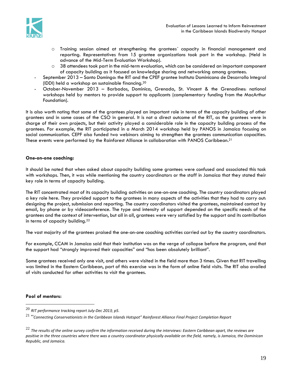

- o Training session aimed at strengthening the grantees´ capacity in financial management and reporting. Representatives from 15 grantee organizations took part in the workshop. (Held in advance of the Mid-Term Evaluation Workshop).
- $\circ$  38 attendees took part in the mid-term evaluation, which can be considered an important component of capacity building as it focused on knowledge sharing and networking among grantees.
- September 2013 Santo Domingo: the RIT and the CPEF grantee Instituto Dominicano de Desarrollo Integral (IDDI) held a workshop on sustainable financing.<sup>20</sup>
- October-November 2013 Barbados, Dominica, Grenada, St. Vincent & the Grenadines: national workshops held by mentors to provide support to applicants (complementary funding from the MacArthur Foundation).

It is also worth noting that some of the grantees played an important role in terms of the capacity building of other grantees and in some cases of the CSO in general. It is not a direct outcome of the RIT, as the grantees were in charge of their own projects, but their activity played a considerable role in the capacity building process of the grantees. For example, the RIT participated in a March 2014 workshop held by PANOS in Jamaica focusing on social communication. CEPF also funded two webinars aiming to strengthen the grantees communication capacities. These events were performed by the Rainforest Alliance in collaboration with PANOS Caribbean.<sup>21</sup>

# **One-on-one coaching:**

It should be noted that when asked about capacity building some grantees were confused and associated this task with workshops. Then, it was while mentioning the country coordinators or the staff in Jamaica that they stated their key role in terms of capacity building.

The RIT concentrated most of its capacity building activities on one-on-one coaching. The country coordinators played a key role here. They provided support to the grantees in many aspects of the activities that they had to carry out: designing the project, submission and reporting. The country coordinators visited the grantees, maintained contact by email, by phone or by videoconference. The type and intensity of support depended on the specific needs of the grantees and the context of intervention, but all in all, grantees were very satisfied by the support and its contribution in terms of capacity building.<sup>22</sup>

The vast majority of the grantees praised the one-on-one coaching activities carried out by the country coordinators.

For example, CCAM in Jamaica said that their institution was on the verge of collapse before the program, and that the support had "strongly improved their capacities" and "has been absolutely brilliant".

Some grantees received only one visit, and others were visited in the field more than 3 times. Given that RIT travelling was limited in the Eastern Caribbean, part of this exercise was in the form of online field visits. The RIT also availed of visits conducted for other activities to visit the grantees.

# **Pool of mentors:**

<sup>20</sup> *RIT performance tracking report July-Dec 2013; p5.*

<sup>21</sup> "*Connecting Conservationists in the Caribbean Islands Hotspot" Rainforest Alliance Final Project Completion Report*

<sup>22</sup> *The results of the online survey confirm the information received during the interviews: Eastern Caribbean apart, the reviews are positive in the three countries where there was a country coordinator physically available on the field, namely, is Jamaica, the Dominican Republic, and Jamaica.*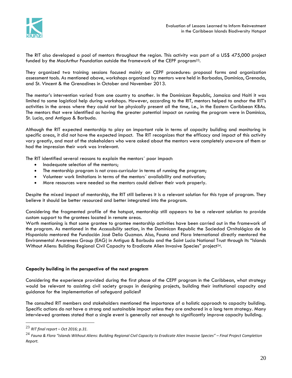

The RIT also developed a pool of mentors throughout the region. This activity was part of a US\$ 475,000 project funded by the MacArthur Foundation outside the framework of the CEPF program23.

They organized two training sessions focused mainly on CEPF procedures: proposal forms and organization assessment tools. As mentioned above, workshops organized by mentors were held in Barbados, Dominica, Grenada, and St. Vincent & the Grenadines in October and November 2013.

The mentor's intervention varied from one country to another. In the Dominican Republic, Jamaica and Haiti it was limited to some logistical help during workshops. However, according to the RIT, mentors helped to anchor the RIT's activities in the areas where they could not be physically present all the time, i.e., in the Eastern Caribbean KBAs. The mentors that were identified as having the greater potential impact on running the program were in Dominica, St. Lucia, and Antigua & Barbuda.

Although the RIT expected mentorship to play an important role in terms of capacity building and monitoring in specific areas, it did not have the expected impact. The RIT recognizes that the efficacy and impact of this activity vary greatly, and most of the stakeholders who were asked about the mentors were completely unaware of them or had the impression their work was irrelevant.

The RIT identified several reasons to explain the mentors´ poor impact:

- Inadequate selection of the mentors;
- The mentorship program is not cross-curricular in terms of running the program;
- Volunteer work limitations in terms of the mentors´ availability and motivation;
- More resources were needed so the mentors could deliver their work properly.

Despite the mixed impact of mentorship, the RIT still believes it is a relevant solution for this type of program. They believe it should be better resourced and better integrated into the program.

Considering the fragmented profile of the hotspot, mentorship still appears to be a relevant solution to provide custom support to the grantees located in remote areas.

Worth mentioning is that some grantee to grantee mentorship activities have been carried out in the framework of the program. As mentioned in the *Accessibility* section, in the Dominican Republic the Sociedad Ornitológica de la Hispaniola mentored the Fundación José Delio Guzman. Also, Fauna and Flora International directly mentored the Environmental Awareness Group (EAG) in Antigua & Barbuda and the Saint Lucia National Trust through its "Islands Without Aliens: Building Regional Civil Capacity to Eradicate Alien Invasive Species" project<sup>24</sup>.

#### **Capacity building in the perspective of the next program**

Considering the experience provided during the first phase of the CEPF program in the Caribbean, what strategy would be relevant to assisting civil society groups in designing projects, building their institutional capacity and guidance for the implementation of safeguard policies?

The consulted RIT members and stakeholders mentioned the importance of a holistic approach to capacity building. Specific actions do not have a strong and sustainable impact unless they are anchored in a long term strategy. Many interviewed grantees stated that a single event is generally not enough to significantly improve capacity building.

<sup>23</sup> *RIT final report – Oct 2016; p.31.*

<sup>24</sup> *Fauna & Flora "Islands Without Aliens: Building Regional Civil Capacity to Eradicate Alien Invasive Species" – Final Project Completion Report.*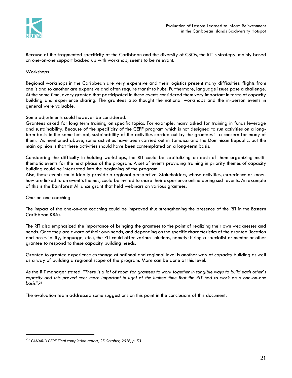

Because of the fragmented specificity of the Caribbean and the diversity of CSOs, the RIT´s strategy, mainly based on one-on-one support backed up with workshop, seems to be relevant.

#### Workshops

Regional workshops in the Caribbean are very expensive and their logistics present many difficulties: flights from one island to another are expensive and often require transit to hubs. Furthermore, language issues pose a challenge. At the same time, every grantee that participated in these events considered them very important in terms of capacity building and experience sharing. The grantees also thought the national workshops and the in-person events in general were valuable.

Some adjustments could however be considered.

Grantees asked for long term training on specific topics. For example, many asked for training in funds leverage and sustainability. Because of the specificity of the CEPF program which is not designed to run activities on a longterm basis in the same hotspot, sustainability of the activities carried out by the grantees is a concern for many of them. As mentioned above, some activities have been carried out in Jamaica and the Dominican Republic, but the main opinion is that these activities should have been contemplated on a long-term basis.

Considering the difficulty in holding workshops, the RIT could be capitalizing on each of them organizing multithematic events for the next phase of the program. A set of events providing training in priority themes of capacity building could be integrated into the beginning of the program.

Also, these events could ideally provide a regional perspective. Stakeholders, whose activities, experience or knowhow are linked to an event´s themes, could be invited to share their experience online during such events. An example of this is the Rainforest Alliance grant that held webinars on various grantees.

One-on-one coaching

 $\overline{a}$ 

The impact of the one-on-one coaching could be improved thus strengthening the presence of the RIT in the Eastern Caribbean KBAs.

The RIT also emphasized the importance of bringing the grantees to the point of realizing their own weaknesses and needs. Once they are aware of their own needs, and depending on the specific characteristics of the grantee (location and accessibility, language, etc.), the RIT could offer various solutions, namely: hiring a specialist or mentor or other grantee to respond to these capacity building needs.

Grantee to grantee experience exchange at national and regional level is another way of capacity building as well as a way of building a regional scope of the program. More can be done at this level.

As the RIT manager stated, "*There is a lot of room for grantees to work together in tangible ways to build each other's capacity and this proved ever more important in light of the limited time that the RIT had to work on a one-on-one basis*". 25

The evaluation team addressed some suggestions on this point in the conclusions of this document.

<sup>25</sup> *CANARI's CEPF Final completion report, 25 October, 2016; p. 53*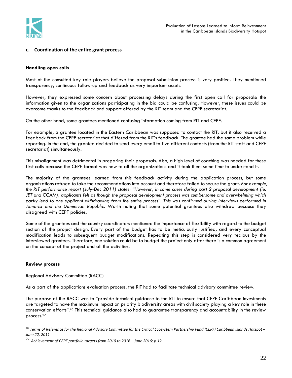

# **c. Coordination of the entire grant process**

#### **Handling open calls**

Most of the consulted key role players believe the proposal submission process is very positive. They mentioned transparency, continuous follow-up and feedback as very important assets.

However, they expressed some concern about processing delays during the first open call for proposals: the information given to the organizations participating in the bid could be confusing. However, these issues could be overcome thanks to the feedback and support offered by the RIT team and the CEPF secretariat.

On the other hand, some grantees mentioned confusing information coming from RIT and CEPF.

For example, a grantee located in the Eastern Caribbean was supposed to contact the RIT, but it also received a feedback from the CEPF secretariat that differed from the RIT's feedback. The grantee had the same problem while reporting. In the end, the grantee decided to send every email to five different contacts (from the RIT staff and CEPF secretariat) simultaneously.

This misalignment was detrimental in preparing their proposals. Also, a high level of coaching was needed for these first calls because the CEPF format was new to all the organizations and it took them some time to understand it.

The majority of the grantees learned from this feedback activity during the application process, but some organizations refused to take the recommendations into account and therefore failed to secure the grant. *For example, the RIT performance report (July-Dec 2011) states: "However, in some cases during part 2 proposal development (ie. JET and CCAM), applicants felt as though the proposal development process was cumbersome and overwhelming which partly lead to one applicant withdrawing from the entire process". This was confirmed during interviews performed in Jamaica and the Dominican Republic.* Worth noting that some potential grantees also withdrew because they disagreed with CEPF policies.

Some of the grantees and the country coordinators mentioned the importance of flexibility with regard to the budget section of the project design. Every part of the budget has to be meticulously justified, and every conceptual modification leads to subsequent budget modifications. Repeating this step is considered very tedious by the interviewed grantees. Therefore, one solution could be to budget the project only after there is a common agreement on the concept of the project and all the activities.

#### **Review process**

 $\overline{a}$ 

#### Regional Advisory Committee (RACC)

As a part of the applications evaluation process, the RIT had to facilitate technical advisory committee review.

The purpose of the RACC was to "provide technical guidance to the RIT to ensure that CEPF Caribbean investments are targeted to have the maximum impact on priority biodiversity areas with civil society playing a key role in these conservation efforts". <sup>26</sup> This technical guidance also had to guarantee transparency and accountability in the review process.<sup>27</sup>

<sup>26</sup> *Terms of Reference for the Regional Advisory Committee for the Critical Ecosystem Partnership Fund (CEPF) Caribbean Islands Hotspot – June 22, 2011.*

<sup>27</sup> *Achievement of CEPF portfolio targets from 2010 to 2016 – June 2016; p.12.*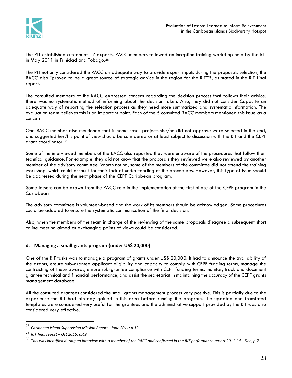

The RIT established a team of 17 experts. RACC members followed an inception training workshop held by the RIT in May 2011 in Trinidad and Tobago.<sup>28</sup>

The RIT not only considered the RACC an adequate way to provide expert inputs during the proposals selection, the RACC also "proved to be a great source of strategic advice in the region for the RIT"<sup>29</sup>, as stated in the RIT final report.

The consulted members of the RACC expressed concern regarding the decision process that follows their advice: there was no systematic method of informing about the decision taken. Also, they did not consider Capacité an adequate way of reporting the selection process as they need more summarized and systematic information. The evaluation team believes this is an important point. Each of the 5 consulted RACC members mentioned this issue as a concern.

One RACC member also mentioned that in some cases projects she/he did not approve were selected in the end, and suggested her/his point of view should be considered or at least subject to discussion with the RIT and the CEPF grant coordinator.<sup>30</sup>

Some of the interviewed members of the RACC also reported they were unaware of the procedures that follow their technical guidance. For example, they did not know that the proposals they reviewed were also reviewed by another member of the advisory committee. Worth noting, some of the members of the committee did not attend the training workshop, which could account for their lack of understanding of the procedures. However, this type of issue should be addressed during the next phase of the CEPF Caribbean program.

Some lessons can be drawn from the RACC role in the implementation of the first phase of the CEPF program in the Caribbean:

The advisory committee is volunteer-based and the work of its members should be acknowledged. Some procedures could be adopted to ensure the systematic communication of the final decision.

Also, when the members of the team in charge of the reviewing of the same proposals disagree a subsequent short online meeting aimed at exchanging points of views could be considered.

# **d. Managing a small grants program (under US\$ 20,000)**

One of the RIT tasks was to manage a program of grants under US\$ 20,000. It had to announce the availability of the grants, ensure sub-grantee applicant eligibility and capacity to comply with CEPF funding terms, manage the contracting of these awards, ensure sub-grantee compliance with CEPF funding terms, monitor, track and document grantee technical and financial performance, and assist the secretariat in maintaining the accuracy of the CEPF grants management database.

All the consulted grantees considered the small grants management process very positive. This is partially due to the experience the RIT had already gained in this area before running the program. The updated and translated templates were considered very useful for the grantees and the administrative support provided by the RIT was also considered very effective.

<sup>28</sup> *Caribbean Island Supervision Mission Report - June 2011; p.19.*

<sup>29</sup> *RIT final report – Oct 2016; p.49*

<sup>&</sup>lt;sup>30</sup> This was identified during an interview with a member of the RACC and confirmed in the RIT performance report 2011 Jul – Dec; p.7.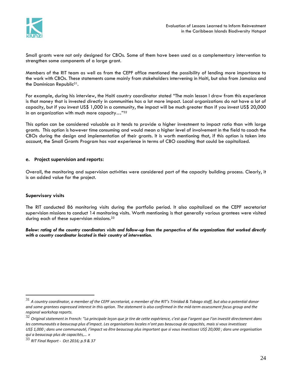

Small grants were not only designed for CBOs. Some of them have been used as a complementary intervention to strengthen some components of a large grant.

Members of the RIT team as well as from the CEPF office mentioned the possibility of lending more importance to the work with CBOs. These statements came mainly from stakeholders intervening in Haiti, but also from Jamaica and the Dominican Republic<sup>31</sup>.

For example, during his interview, the Haiti country coordinator stated "The main lesson I draw from this experience is that money that is invested directly in communities has a lot more impact. Local organizations do not have a lot of capacity, but if you invest US\$ 1,000 in a community, the impact will be much greater than if you invest US\$ 20,000 in an organization with much more capacity…"<sup>32</sup>

This option can be considered valuable as it tends to provide a higher investment to impact ratio than with large grants. This option is however time consuming and would mean a higher level of involvement in the field to coach the CBOs during the design and implementation of their grants. It is worth mentioning that, if this option is taken into account, the Small Grants Program has vast experience in terms of CBO coaching that could be capitalized.

# **e. Project supervision and reports:**

Overall, the monitoring and supervision activities were considered part of the capacity building process. Clearly, it is an added value for the project.

# **Supervisory visits**

 $\overline{a}$ 

The RIT conducted 86 monitoring visits during the portfolio period. It also capitalized on the CEPF secretariat supervision missions to conduct 14 monitoring visits. Worth mentioning is that generally various grantees were visited during each of these supervision missions. 33

*Below: rating of the country coordinators visits and follow-up from the perspective of the organizations that worked directly with a country coordinator located in their country of intervention.*

 $^{31}$  A country coordinator, a member of the CEPF secretariat, a member of the RIT's Trinidad & Tobago staff, but also a potential donor *and some grantees expressed interest in this option. The statement is also confirmed in the mid-term assessment focus group and the regional workshop reports.*

<sup>32</sup> *Original statement in French: "La principale leçon que je tire de cette expérience, c'est que l'argent que l'on investit directement dans les communautés a beaucoup plus d'impact. Les organisations locales n'ont pas beaucoup de capacités, mais si vous investissez US\$ 1,000 ; dans une communauté, l'impact va être beaucoup plus important que si vous investissez US\$ 20,000 ; dans une organisation qui a beaucoup plus de capacités,… »*

<sup>33</sup> *RIT Final Report - Oct 2016; p.9 & 37*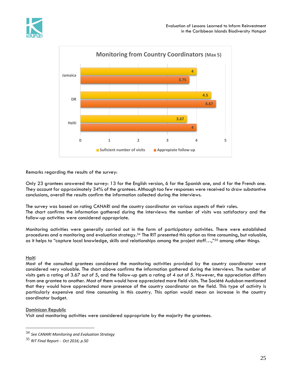



Remarks regarding the results of the survey:

Only 23 grantees answered the survey: 13 for the English version, 6 for the Spanish one, and 4 for the French one. They account for approximately 34% of the grantees. Although too few responses were received to draw substantive conclusions, overall the results confirm the information collected during the interviews.

The survey was based on rating CANARI and the country coordinator on various aspects of their roles. The chart confirms the information gathered during the interviews: the number of visits was satisfactory and the follow-up activities were considered appropriate.

Monitoring activities were generally carried out in the form of participatory activities. There were established procedures and a monitoring and evaluation strategy.<sup>34</sup> The RIT presented this option as time consuming, but valuable, as it helps to "capture local knowledge, skills and relationships among the project staff...,"<sup>35</sup> among other things.

# Haiti

 $\overline{a}$ 

Most of the consulted grantees considered the monitoring activities provided by the country coordinator were considered very valuable. The chart above confirms the information gathered during the interviews. The number of visits gets a rating of 3.67 out of 5, and the follow-up gets a rating of 4 out of 5. However, the appreciation differs from one grantee to another. Most of them would have appreciated more field visits. The Société Audubon mentioned that they would have appreciated more presence of the country coordinator on the field. This type of activity is particularly expensive and time consuming in this country. This option would mean an increase in the country coordinator budget.

# Dominican Republic

Visit and monitoring activities were considered appropriate by the majority the grantees.

<sup>34</sup> *See CANARI Monitoring and Evaluation Strategy*

<sup>35</sup> *RIT Final Report - Oct 2016; p.50*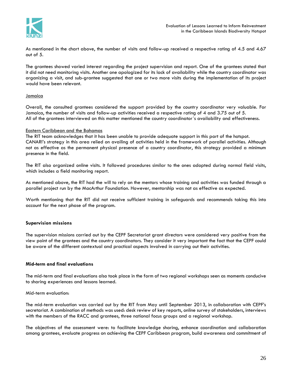

As mentioned in the chart above, the number of visits and follow-up received a respective rating of 4.5 and 4.67 out of 5.

The grantees showed varied interest regarding the project supervision and report. One of the grantees stated that it did not need monitoring visits. Another one apologized for its lack of availability while the country coordinator was organizing a visit, and sub-grantee suggested that one or two more visits during the implementation of its project would have been relevant.

# Jamaica

Overall, the consulted grantees considered the support provided by the country coordinator very valuable. For Jamaica, the number of visits and follow-up activities received a respective rating of 4 and 3.75 out of 5. All of the grantees interviewed on this matter mentioned the country coordinator´s availability and effectiveness.

# Eastern Caribbean and the Bahamas

The RIT team acknowledges that it has been unable to provide adequate support in this part of the hotspot. CANARI's strategy in this area relied on availing of activities held in the framework of parallel activities. Although not as effective as the permanent physical presence of a country coordinator, this strategy provided a minimum presence in the field.

The RIT also organized online visits. It followed procedures similar to the ones adopted during normal field visits, which includes a field monitoring report.

As mentioned above, the RIT had the will to rely on the mentors whose training and activities was funded through a parallel project run by the MacArthur Foundation. However, mentorship was not as effective as expected.

Worth mentioning that the RIT did not receive sufficient training in safeguards and recommends taking this into account for the next phase of the program.

# **Supervision missions**

The supervision missions carried out by the CEPF Secretariat grant directors were considered very positive from the view point of the grantees and the country coordinators. They consider it very important the fact that the CEPF could be aware of the different contextual and practical aspects involved in carrying out their activities.

#### **Mid-term and final evaluations**

The mid-term and final evaluations also took place in the form of two regional workshops seen as moments conducive to sharing experiences and lessons learned.

#### Mid-term evaluation:

The mid-term evaluation was carried out by the RIT from May until September 2013, in collaboration with CEPF's secretariat. A combination of methods was used: desk review of key reports, online survey of stakeholders, interviews with the members of the RACC and grantees, three national focus groups and a regional workshop.

The objectives of the assessment were: to facilitate knowledge sharing, enhance coordination and collaboration among grantees, evaluate progress on achieving the CEPF Caribbean program, build awareness and commitment of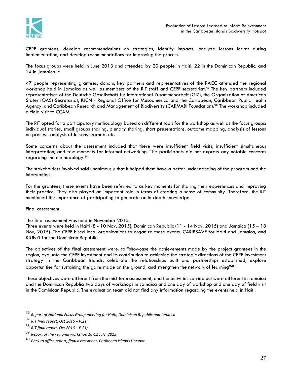

CEPF grantees, develop recommendations on strategies, identify impacts, analyze lessons learnt during implementation, and develop recommendations for improving the process.

The focus groups were held in June 2013 and attended by 20 people in Haiti, 22 in the Dominican Republic, and 14 in Jamaica.<sup>36</sup>

47 people representing grantees, donors, key partners and representatives of the RACC attended the regional workshop held in Jamaica as well as members of the RIT staff and CEPF secretariat. <sup>37</sup> The key partners included representatives of the Deutsche Gesellschaft für International Zusammenarbeit (GIZ), the Organization of American States (OAS) Secretariat, IUCN - Regional Office for Mesoamerica and the Caribbean, Caribbean Public Health Agency, and Caribbean Research and Management of Biodiversity (CARMABI Foundation).<sup>38</sup> The workshop included a field visit to CCAM.

The RIT opted for a participatory methodology based on different tools for the workshop as well as the focus groups: individual stories, small groups sharing, plenary sharing, short presentations, outcome mapping, analysis of lessons on process, analysis of lessons learned, etc.

Some concerns about the assessment included that there were insufficient field visits, insufficient simultaneous interpretation, and few moments for informal networking. The participants did not express any notable concerns regarding the methodology.<sup>39</sup>

The stakeholders involved said unanimously that it helped them have a better understanding of the program and the interventions.

For the grantees, these events have been referred to as key moments for sharing their experiences and improving their practice. They also played an important role in terms of creating a sense of community. Therefore, the RIT mentioned the importance of participating to generate an in-depth knowledge.

#### Final assessment

#### The final assessment was held in November 2015.

Three events were held in Haiti (8 - 10 Nov, 2015), Dominican Republic (11 - 14 Nov, 2015) and Jamaica (15 – 18 Nov, 2015). The CEPF hired local organizations to organize these events: CARIBSAVE for Haiti and Jamaica, and KIUNZI for the Dominican Republic.

The objectives of the final assessment were: to "showcase the achievements made by the project grantees in the region, evaluate the CEPF investment and its contribution to achieving the strategic directions of the CEPF investment strategy in the Caribbean Islands, celebrate the relationships built and partnerships established, explore opportunities for sustaining the gains made on the ground, and strengthen the network of learning" $40<sup>1</sup>$ 

These objectives were different from the mid-term assessment, and the activities carried out were different in Jamaica and the Dominican Republic: two days of workshops in Jamaica and one day of workshop and one day of field visit in the Dominican Republic. The evaluation team did not find any information regarding the events held in Haiti.

<sup>36</sup> *Report of National Focus Group meeting for Haiti, Dominican Republic and Jamaica*

<sup>37</sup> *RIT final report, Oct 2016 – P.21;*

<sup>38</sup> *RIT final report, Oct 2016 – P.21;*

<sup>39</sup> *Report of the regional workshop 10-12 July, 2013*

<sup>40</sup> *Back to office report, final assessment, Caribbean Islands Hotspot*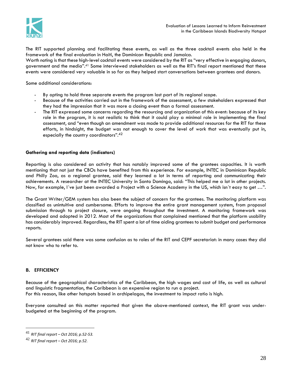

The RIT supported planning and facilitating these events, as well as the three cocktail events also held in the framework of the final evaluation in Haiti, the Dominican Republic and Jamaica.

Worth noting is that these high-level cocktail events were considered by the RIT as "very effective in engaging donors, government and the media". <sup>41</sup> Some interviewed stakeholders as well as the RIT's final report mentioned that these events were considered very valuable in so far as they helped start conversations between grantees and donors.

Some additional considerations:

- By opting to hold three separate events the program lost part of its regional scope.
- Because of the activities carried out in the framework of the assessment, a few stakeholders expressed that they had the impression that it was more a closing event than a formal assessment.
- The RIT expressed some concerns regarding the resourcing and organization of this event: because of its key role in the program, it is not realistic to think that it could play a minimal role in implementing the final assessment, and "even though an amendment was made to provide additional resources for the RIT for these efforts, in hindsight, the budget was not enough to cover the level of work that was eventually put in, especially the country coordinators". 42

#### **Gathering and reporting data (indicators)**

Reporting is also considered an activity that has notably improved some of the grantees capacities. It is worth mentioning that not just the CBOs have benefited from this experience. For example, INTEC in Dominican Republic and Philly Zoo, as a regional grantee, said they learned a lot in terms of reporting and communicating their achievements. A researcher at the INTEC University in Santo Domingo, said: "This helped me a lot in other projects. Now, for example, I´ve just been awarded a Project with a Science Academy in the US, which isn´t easy to get …".

The Grant Writer/GEM system has also been the subject of concern for the grantees. The monitoring platform was classified as unintuitive and cumbersome. Efforts to improve the entire grant management system, from proposal submission through to project closure, were ongoing throughout the investment. A monitoring framework was developed and adopted in 2012. Most of the organizations that complained mentioned that the platform usability has considerably improved. Regardless, the RIT spent a lot of time aiding grantees to submit budget and performance reports.

Several grantees said there was some confusion as to roles of the RIT and CEPF secretariat: in many cases they did not know who to refer to.

#### **B. EFFICIENCY**

 $\overline{a}$ 

Because of the geographical characteristics of the Caribbean, the high wages and cost of life, as well as cultural and linguistic fragmentation, the Caribbean is an expensive region to run a project. For this reason, like other hotspots based in archipelagos, the investment to impact ratio is high.

Everyone consulted on this matter reported that given the above-mentioned context, the RIT grant was underbudgeted at the beginning of the program.

<sup>41</sup> *RIT final report – Oct 2016; p.52-53.*

<sup>42</sup> *RIT final report – Oct 2016; p.52.*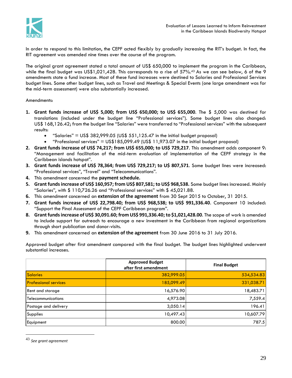

In order to respond to this limitation, the CEPF acted flexibly by gradually increasing the RIT's budget. In fact, the RIT agreement was amended nine times over the course of the program.

The original grant agreement stated a total amount of US\$ 650,000 to implement the program in the Caribbean, while the final budget was US\$1,021,428. This corresponds to a rise of 57%.<sup>43</sup> As we can see below, 6 of the 9 amendments state a fund increase. Most of these fund increases were destined to Salaries and Professional Services budget lines. Some other budget lines, such as Travel and Meetings & Special Events (one large amendment was for the mid-term assessment) were also substantially increased.

#### Amendments:

- **1. Grant funds increase of US\$ 5,000; from US\$ 650,000; to US\$ 655,000**. The \$ 5,000 was destined for translations (included under the budget line "Professional services"). Some budget lines also changed: US\$ 168,126.42; from the budget line "Salaries" were transferred to "Professional services" with the subsequent results:
	- "Salaries" =  $US$ 382,999.05 (US$ 551,125.47 in the initial budget proposal)$
	- "Professional services" =  $US$185,099.49$  (US\$ 11,973.07 in the initial budget proposal)
- **2. Grant funds increase of US\$ 74,217; from US\$ 655,000; to US\$ 729,217**. This amendment adds component 9: "Management and facilitation of the mid-term evaluation of implementation of the CEPF strategy in the Caribbean islands hotspot".
- **3. Grant funds increase of US\$ 78,364; from US\$ 729,217; to U\$ 807,571**. Some budget lines were increased: "Professional services", "Travel" and "Telecommunications".
- **4.** This amendment concerned the **payment schedule.**
- **5. Grant funds increase of US\$ 160,957; from US\$ 807,581; to US\$ 968,538.** Some budget lines increased. Mainly "Salaries", with \$ 110,726.26 and "Professional services" with \$ 45,021.88.
- **6.** This amendment concerned an **extension of the agreement** from 30 Sept 2015 to October, 31 2015.
- **7. Grant funds increase of US\$ 22,798.40; from US\$ 968,538; to US\$ 991,336.40**. Component 10 included: "Support the Final Assessment of the CEPF Caribbean program".
- **8. Grant funds increase of US\$ 30,091.60; from US\$ 991,336.40;to \$1,021,428.00**. The scope of work is amended to include support for outreach to encourage a new investment in the Caribbean from regional organizations through short publication and donor-visits.
- **9.** This amendment concerned an **extension of the agreement** from 30 June 2016 to 31 July 2016.

Approved budget after first amendment compared with the final budget. The budget lines highlighted underwent substantial increases.

|                              | <b>Approved Budget</b><br>after first amendment | <b>Final Budget</b> |
|------------------------------|-------------------------------------------------|---------------------|
| <b>Salaries</b>              | 382,999.05                                      | 534,534.83          |
| <b>Professional services</b> | 185,099.49                                      | 331,038.71          |
| Rent and storage             | 16,576.90                                       | 18,483.71           |
| <b>Telecommunications</b>    | 4,973.08                                        | 7,559.4             |
| Postage and delivery         | 3,050.14                                        | 196.41              |
| Supplies                     | 10,497.43                                       | 10,607.79           |
| Equipment                    | 800.00                                          | 787.5               |

<sup>43</sup> *See grant agreement*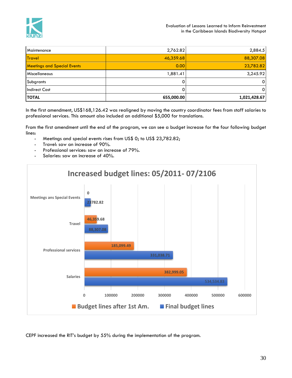

| Maintenance                        | 2,762.82   | 2,884.5      |
|------------------------------------|------------|--------------|
| <b>Travel</b>                      | 46,359.68  | 88,307.08    |
| <b>Meetings and Special Events</b> | 0.00       | 23,782.82    |
| <b>Miscellaneous</b>               | 1,881.41   | 3,245.92     |
| Subgrants                          |            | 01           |
| <b>Indirect Cost</b>               |            | ΟI           |
| <b>TOTAL</b>                       | 655,000.00 | 1,021,428.67 |

In the first amendment, US\$168,126.42 was realigned by moving the country coordinator fees from staff salaries to professional services. This amount also included an additional \$5,000 for translations.

From the first amendment until the end of the program, we can see a budget increase for the four following budget lines:

- Meetings and special events rises from US\$ 0; to US\$ 23,782.82;
- Travel: saw an increase of 90%.
- Professional services: saw an increase of 79%.
- Salaries: saw an increase of 40%.



CEPF increased the RIT's budget by 55% during the implementation of the program.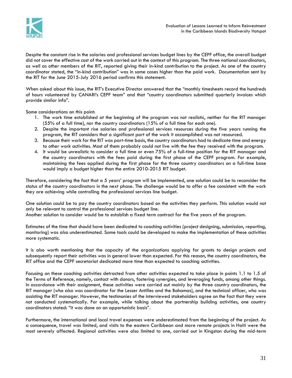

Despite the constant rise in the salaries and professional services budget lines by the CEPF office, the overall budget did not cover the effective cost of the work carried out in the context of this program. The three national coordinators, as well as other members of the RIT, reported giving their in-kind contribution to the project. As one of the country coordinator stated, the "in-kind contribution" was in some cases higher than the paid work. Documentation sent by the RIT for the June 2015-July 2016 period confirms this statement.

When asked about this issue, the RIT's Executive Director answered that the "monthly timesheets record the hundreds of hours volunteered by CANARI's CEPF team" and that "country coordinators submitted quarterly invoices which provide similar info".

Some considerations on this point:

- 1. The work time established at the beginning of the program was not realistic, neither for the RIT manager (55% of a full time), nor the country coordinators (15% of a full time for each one).
- 2. Despite the important rise salaries and professional services resources during the five years running the program, the RIT considers that a significant part of the work it accomplished was not resourced.
- 3. Because their work for the RIT was part-time basis, the country coordinators had to dedicate time and energy to other work activities. Most of them probably could not live with the fee they received with the program.
- 4. It would be unrealistic to consider a full time or even 75% of a full-time position for the RIT manager and the country coordinators with the fees paid during the first phase of the CEPF program. For example, maintaining the fees applied during the first phase for the three country coordinators on a full-time base would imply a budget higher than the entire 2010-2015 RIT budget.

Therefore, considering the fact that a 5 years' program will be implemented, one solution could be to reconsider the status of the country coordinators in the next phase. The challenge would be to offer a fee consistent with the work they are achieving while controlling the professional services line budget.

One solution could be to pay the country coordinators based on the activities they perform. This solution would not only be relevant to control the professional services budget line.

Another solution to consider would be to establish a fixed term contract for the five years of the program.

Estimates of the time that should have been dedicated to coaching activities (project designing, submission, reporting, monitoring) was also underestimated. Some tools could be developed to make the implementation of these activities more systematic.

It is also worth mentioning that the capacity of the organizations applying for grants to design projects and subsequently report their activities was in general lower than expected. For this reason, the country coordinators, the RIT office and the CEPF secretariat dedicated more time than expected to coaching activities.

Focusing on these coaching activities detracted from other activities expected to take place in points 1.1 to 1.5 of the Terms of Reference, namely, contact with donors, fostering synergies, and leveraging funds, among other things. In accordance with their assignment, these activities were carried out mainly by the three country coordinators, the RIT manager (who also was coordinator for the Lesser Antilles and the Bahamas), and the technical officer, who was assisting the RIT manager. However, the testimonies of the interviewed stakeholders agree on the fact that they were not conducted systematically. For example, while talking about the partnership building activities, one country coordinators stated: "it was done on an opportunistic basis".

Furthermore, the international and local travel expenses were underestimated from the beginning of the project. As a consequence, travel was limited, and visits to the eastern Caribbean and more remote projects in Haiti were the most severely affected. Regional activities were also limited to one, carried out in Kingston during the mid-term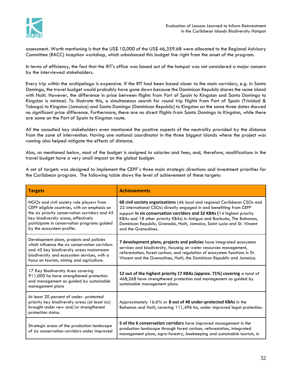

assessment. Worth mentioning is that the US\$ 10,000 of the US\$ 46,359.68 were allocated to the Regional Advisory Committee (RACC) inception workshop, which unbalanced this budget line right from the onset of the program.

In terms of efficiency, the fact that the RIT's office was based out of the hotspot was not considered a major concern by the interviewed stakeholders.

Every trip within the archipelago is expensive. If the RIT had been based closer to the main corridors, e.g. in Santo Domingo, the travel budget would probably have gone down because the Dominican Republic shares the same island with Haiti. However, the difference in price between flights from Port of Spain to Kingston and Santo Domingo to Kingston is minimal. To illustrate this, a simultaneous search for round trip flights from Port of Spain (Trinidad & Tobago) to Kingston (Jamaica) and Santo Domingo (Dominican Republic) to Kingston on the same three dates showed no significant price difference. Furthermore, there are no direct flights from Santo Domingo to Kingston, while there are some on the Port of Spain to Kingston route.

All the consulted key stakeholders even mentioned the positive aspects of the neutrality provided by the distance from the zone of intervention. Having one national coordinator in the three biggest islands where the project was running also helped mitigate the effects of distance.

Also, as mentioned below, most of the budget is assigned to salaries and fees, and, therefore, modifications in the travel budget have a very small impact on the global budget.

A set of targets was designed to implement the CEPF´s three main strategic directions and investment priorities for the Caribbean program. The following table shows the level of achievement of these targets:

| <b>Targets</b>                                                                                                                                                                                                                                                | <b>Achievements</b>                                                                                                                                                                                                                                                                                                                                                                                   |
|---------------------------------------------------------------------------------------------------------------------------------------------------------------------------------------------------------------------------------------------------------------|-------------------------------------------------------------------------------------------------------------------------------------------------------------------------------------------------------------------------------------------------------------------------------------------------------------------------------------------------------------------------------------------------------|
| NGOs and civil society role players from<br>CEPF eligible countries, with an emphasis on<br>the six priority conservation corridors and 45<br>key biodiversity areas, effectively<br>participate in conservation programs guided<br>by the ecosystem profile. | 68 civil society organizations (46 local and regional Caribbean CSOs and<br>22 international CSOs) directly engaged in and benefiting from CEPF<br>support in six conservation corridors and 32 KBAs (14 highest priority<br>KBAs and 18 other priority KBAs) in Antigua and Barbuda, The Bahamas,<br>Dominican Republic, Grenada, Haiti, Jamaica, Saint Lucia and St. Vincent<br>and the Grenadines. |
| Development plans, projects and policies<br>which influence the six conservation corridors<br>and 45 key biodiversity areas mainstream<br>biodiversity and ecosystem services, with a<br>focus on tourism, mining and agriculture.                            | 7 development plans, projects and policies have integrated ecosystem<br>services and biodiversity, focusing on water resources management,<br>reforestation, forest carbon, and regulation of ecosystem functions in St.<br>Vincent and the Grenadines, Haiti, the Dominican Republic and Jamaica.                                                                                                    |
| 17 Key Biodiversity Area covering<br>911,000 ha have strengthened protection<br>and management as guided by sustainable<br>management plans                                                                                                                   | 12 out of the highest priority 17 KBAs (approx. 71%) covering a total of<br>468,268 have strengthened protection and management as guided by<br>sustainable management plans.                                                                                                                                                                                                                         |
| At least 20 percent of under- protected<br>priority key biodiversity areas (at least six)<br>brought under new and/or strengthened<br>protection status.                                                                                                      | Approximately 16.6% or 8 out of 48 under-protected KBAs in the<br>Bahamas and Haiti, covering 111,496 ha, under improved legal protection.                                                                                                                                                                                                                                                            |
| Strategic areas of the production landscape<br>of six conservation corridors under improved                                                                                                                                                                   | 5 of the 6 conservation corridors have improved management in the<br>production landscape through forest carbon, reforestation, integrated<br>management plans, agro-forestry, beekeeping and sustainable tourism, in                                                                                                                                                                                 |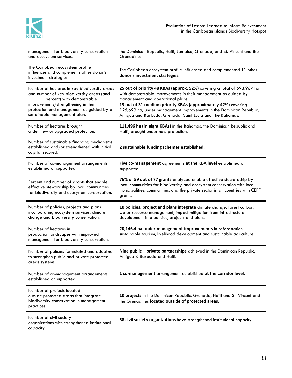

| management for biodiversity conservation<br>and ecosystem services.                                                                                                                                                                        | the Dominican Republic, Haiti, Jamaica, Grenada, and St. Vincent and the<br>Grenadines.                                                                                                                                                                                                                                                                                                 |
|--------------------------------------------------------------------------------------------------------------------------------------------------------------------------------------------------------------------------------------------|-----------------------------------------------------------------------------------------------------------------------------------------------------------------------------------------------------------------------------------------------------------------------------------------------------------------------------------------------------------------------------------------|
| The Caribbean ecosystem profile<br>influences and complements other donor's<br>investment strategies.                                                                                                                                      | The Caribbean ecosystem profile influenced and complemented 11 other<br>donor's investment strategies.                                                                                                                                                                                                                                                                                  |
| Number of hectares in key biodiversity areas<br>and number of key biodiversity areas (and<br>percent) with demonstrable<br>improvements/strengthening in their<br>protection and management as guided by a<br>sustainable management plan. | 25 out of priority 48 KBAs (approx. 52%) covering a total of 593,967 ha<br>with demonstrable improvements in their management as guided by<br>management and operational plans.<br>13 out of 31 medium priority KBAs (approximately 42%) covering<br>125,699 ha, under management improvements in the Dominican Republic,<br>Antigua and Barbuda, Grenada, Saint Lucia and The Bahamas. |
| Number of hectares brought<br>under new or upgraded protection.                                                                                                                                                                            | 111,496 ha (in eight KBAs) in the Bahamas, the Dominican Republic and<br>Haiti, brought under new protection.                                                                                                                                                                                                                                                                           |
| Number of sustainable financing mechanisms<br>established and/or strengthened with initial<br>capital secured.                                                                                                                             | 2 sustainable funding schemes established.                                                                                                                                                                                                                                                                                                                                              |
| Number of co-management arrangements<br>established or supported.                                                                                                                                                                          | Five co-management agreements at the KBA level established or<br>supported.                                                                                                                                                                                                                                                                                                             |
| Percent and number of grants that enable<br>effective stewardship by local communities<br>for biodiversity and ecosystem conservation.                                                                                                     | 76% or 59 out of 77 grants analyzed enable effective stewardship by<br>local communities for biodiversity and ecosystem conservation with local<br>municipalities, communities, and the private sector in all countries with CEPF<br>grants.                                                                                                                                            |
| Number of policies, projects and plans<br>incorporating ecosystem services, climate<br>change and biodiversity conservation.                                                                                                               | 10 policies, project and plans integrate climate change, forest carbon,<br>water resource management, impact mitigation from infrastructure<br>development into policies, projects and plans.                                                                                                                                                                                           |
| Number of hectares in<br>production landscapes with improved<br>management for biodiversity conservation.                                                                                                                                  | 20,146.4 ha under management improvements in reforestation,<br>sustainable tourism, livelihood development and sustainable agriculture                                                                                                                                                                                                                                                  |
| Number of policies formulated and adopted<br>to strengthen public and private protected<br>areas systems.                                                                                                                                  | Nine public - private partnerships achieved in the Dominican Republic,<br>Antigua & Barbuda and Haiti.                                                                                                                                                                                                                                                                                  |
| Number of co-management arrangements<br>established or supported.                                                                                                                                                                          | 1 co-management arrangement established at the corridor level.                                                                                                                                                                                                                                                                                                                          |
| Number of projects located<br>outside protected areas that integrate<br>biodiversity conservation in management<br>practices.                                                                                                              | 10 projects in the Dominican Republic, Grenada, Haiti and St. Vincent and<br>the Grenadines located outside of protected areas.                                                                                                                                                                                                                                                         |
| Number of civil society<br>organizations with strengthened institutional<br>capacity.                                                                                                                                                      | 58 civil society organizations have strengthened institutional capacity.                                                                                                                                                                                                                                                                                                                |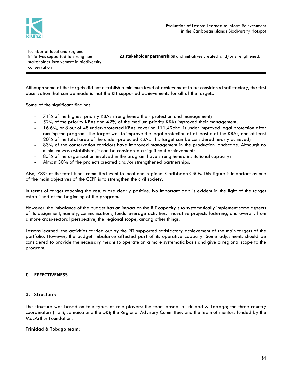

| Number of local and regional<br>initiatives supported to strengthen<br>stakeholder involvement in biodiversity<br>conservation | 23 stakeholder partnerships and initiatives created and/or strengthened. |
|--------------------------------------------------------------------------------------------------------------------------------|--------------------------------------------------------------------------|
|                                                                                                                                |                                                                          |

Although some of the targets did not establish a minimum level of achievement to be considered satisfactory, the first observation that can be made is that the RIT supported achievements for all of the targets.

Some of the significant findings:

- 71% of the highest priority KBAs strengthened their protection and management;
- 52% of the priority KBAs and 42% of the medium priority KBAs improved their management;
- 16.6%, or 8 out of 48 under-protected KBAs, covering 111,496ha, is under improved legal protection after running the program. The target was to improve the legal protection of at least 6 of the KBAs, and at least 20% of the total area of the under-protected KBAs. This target can be considered nearly achieved;
- 83% of the conservation corridors have improved management in the production landscape. Although no minimum was established, it can be considered a significant achievement;
- 85% of the organization involved in the program have strengthened institutional capacity;
- Almost 30% of the projects created and/or strengthened partnerships.

Also, 78% of the total funds committed went to local and regional Caribbean CSOs. This figure is important as one of the main objectives of the CEPF is to strengthen the civil society.

In terms of target reaching the results are clearly positive. No important gap is evident in the light of the target established at the beginning of the program.

However, the imbalance of the budget has an impact on the RIT capacity´s to systematically implement some aspects of its assignment, namely, communications, funds leverage activities, innovative projects fostering, and overall, from a more cross-sectoral perspective, the regional scope, among other things.

Lessons learned: the activities carried out by the RIT supported satisfactory achievement of the main targets of the portfolio. However, the budget imbalance affected part of its operative capacity. Some adjustments should be considered to provide the necessary means to operate on a more systematic basis and give a regional scope to the program.

#### **C. EFFECTIVENESS**

#### **a. Structure:**

The structure was based on four types of role players: the team based in Trinidad & Tobago; the three country coordinators (Haiti, Jamaica and the DR); the Regional Advisory Committee, and the team of mentors funded by the MacArthur Foundation.

#### **Trinidad & Tobago team:**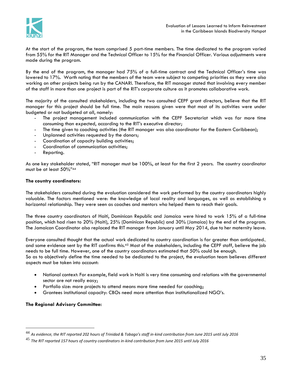

At the start of the program, the team comprised 5 part-time members. The time dedicated to the program varied from 55% for the RIT Manager and the Technical Officer to 15% for the Financial Officer. Various adjustments were made during the program.

By the end of the program, the manager had 75% of a full-time contract and the Technical Officer's time was lowered to 17%. Worth noting that the members of the team were subject to competing priorities as they were also working on other projects being run by the CANARI. Therefore, the RIT manager stated that involving every member of the staff in more than one project is part of the RIT's corporate culture as it promotes collaborative work.

The majority of the consulted stakeholders, including the two consulted CEPF grant directors, believe that the RIT manager for this project should be full time. The main reasons given were that most of its activities were under budgeted or not budgeted at all, namely:

- The project management included communication with the CEPF Secretariat which was far more time consuming than expected, according to the RIT's executive director;
- The time given to coaching activities (the RIT manager was also coordinator for the Eastern Caribbean);
- Unplanned activities requested by the donors;
- Coordination of capacity building activities;
- Coordination of communication activities;
- Reporting.

As one key stakeholder stated, "RIT manager must be 100%, at least for the first 2 years. The country coordinator must be at least 50%"<sup>44</sup>

#### **The country coordinators:**

The stakeholders consulted during the evaluation considered the work performed by the country coordinators highly valuable. The factors mentioned were: the knowledge of local reality and languages, as well as establishing a horizontal relationship. They were seen as coaches and mentors who helped them to reach their goals.

The three country coordinators of Haiti, Dominican Republic and Jamaica were hired to work 15% of a full-time position, which had risen to 20% (Haiti), 25% (Dominican Republic) and 30% (Jamaica) by the end of the program. The Jamaican Coordinator also replaced the RIT manager from January until May 2014, due to her maternity leave.

Everyone consulted thought that the actual work dedicated to country coordination is far greater than anticipated., and some evidence sent by the RIT confirms this.<sup>45</sup> Most of the stakeholders, including the CEPF staff, believe the job needs to be full time. However, one of the country coordinators estimated that 50% could be enough. So as to objectively define the time needed to be dedicated to the project, the evaluation team believes different aspects must be taken into account:

- National context: For example, field work in Haiti is very time consuming and relations with the governmental sector are not really easy;
- Portfolio size: more projects to attend means more time needed for coaching;
- Grantees institutional capacity: CBOs need more attention than institutionalized NGO's.

#### **The Regional Advisory Committee:**

<sup>44</sup> *As evidence, the RIT reported 202 hours of Trinidad & Tobago's staff in-kind contribution from June 2015 until July 2016*

<sup>45</sup> *The RIT reported 157 hours of country coordinators in-kind contribution from June 2015 until July 2016*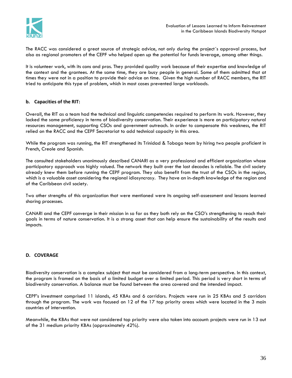

The RACC was considered a great source of strategic advice, not only during the project´s approval process, but also as regional promoters of the CEPF who helped open up the potential for funds leverage, among other things.

It is volunteer work, with its cons and pros. They provided quality work because of their expertise and knowledge of the context and the grantees. At the same time, they are busy people in general. Some of them admitted that at times they were not in a position to provide their advice on time. Given the high number of RACC members, the RIT tried to anticipate this type of problem, which in most cases prevented large workloads.

# **b. Capacities of the RIT:**

Overall, the RIT as a team had the technical and linguistic competencies required to perform its work. However, they lacked the same proficiency in terms of biodiversity conservation. Their experience is more on participatory natural resources management, supporting CSOs and government outreach. In order to compensate this weakness, the RIT relied on the RACC and the CEPF Secretariat to add technical capacity in this area.

While the program was running, the RIT strengthened its Trinidad & Tobago team by hiring two people proficient in French, Creole and Spanish.

The consulted stakeholders unanimously described CANARI as a very professional and efficient organization whose participatory approach was highly valued. The network they built over the last decades is reliable. The civil society already knew them before running the CEPF program. They also benefit from the trust of the CSOs in the region, which is a valuable asset considering the regional idiosyncrasy. They have an in-depth knowledge of the region and of the Caribbean civil society.

Two other strengths of this organization that were mentioned were its ongoing self-assessment and lessons learned sharing processes.

CANARI and the CEPF converge in their mission in so far as they both rely on the CSO's strengthening to reach their goals in terms of nature conservation. It is a strong asset that can help ensure the sustainability of the results and impacts.

# **D. COVERAGE**

Biodiversity conservation is a complex subject that must be considered from a long-term perspective. In this context, the program is framed on the basis of a limited budget over a limited period. This period is very short in terms of biodiversity conservation. A balance must be found between the area covered and the intended impact.

CEPF's investment comprised 11 islands, 45 KBAs and 6 corridors. Projects were run in 25 KBAs and 5 corridors through the program. The work was focused on 12 of the 17 top priority areas which were located in the 3 main countries of intervention.

Meanwhile, the KBAs that were not considered top priority were also taken into account: projects were run in 13 out of the 31 medium priority KBAs (approximately 42%).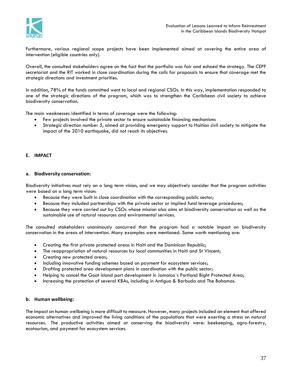

Furthermore, various regional scope projects have been implemented aimed at covering the entire area of intervention (eligible countries only).

Overall, the consulted stakeholders agree on the fact that the portfolio was fair and echoed the strategy. The CEPF secretariat and the RIT worked in close coordination during the calls for proposals to ensure that coverage met the strategic directions and investment priorities.

In addition, 78% of the funds committed went to local and regional CSOs. In this way, implementation responded to one of the strategic directions of the program, which was to strengthen the Caribbean civil society to achieve biodiversity conservation.

The main weaknesses identified in terms of coverage were the following:

- Few projects involved the private sector to ensure sustainable financing mechanisms
- Strategic direction number 5, aimed at providing emergency support to Haitian civil society to mitigate the impact of the 2010 earthquake, did not reach its objectives.

# **E. IMPACT**

#### **a. Biodiversity conservation:**

Biodiversity initiatives must rely on a long term vision, and we may objectively consider that the program activities were based on a long term vision:

- Because they were built in close coordination with the corresponding public sector;
- Because they included partnerships with the private sector or implied fund leverage procedures;
- Because they were carried out by CSOs whose mission also aims at biodiversity conservation as well as the sustainable use of natural resources and environmental services.

The consulted stakeholders unanimously concurred that the program had a notable impact on biodiversity conservation in the areas of intervention. Many examples were mentioned. Some worth mentioning are:

- Creating the first private protected areas in Haiti and the Dominican Republic;
- The reappropriation of natural resources by local communities in Haiti and St Vincent;
- Creating new protected areas;
- Including innovative funding schemes based on payment for ecosystem services;
- Drafting protected area development plans in coordination with the public sector;
- Helping to cancel the Goat Island port development in Jamaica´s Portland Bight Protected Area;
- Increasing the protection of several KBAs, including in Antigua & Barbuda and The Bahamas.

#### **b. Human wellbeing:**

The impact on human wellbeing is more difficult to measure. However, many projects included an element that offered economic alternatives and improved the living conditions of the populations that were exerting a stress on natural resources. The productive activities aimed at conserving the biodiversity were: beekeeping, agro-forestry, ecotourism, and payment for ecosystem services.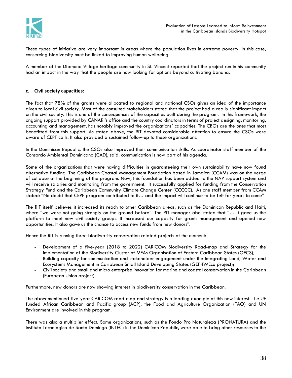

These types of initiative are very important in areas where the population lives in extreme poverty. In this case, conserving biodiversity must be linked to improving human wellbeing.

A member of the Diamond Village heritage community in St. Vincent reported that the project run in his community had an impact in the way that the people are now looking for options beyond cultivating banana.

# **c. Civil society capacities:**

The fact that 78% of the grants were allocated to regional and national CSOs gives an idea of the importance given to local civil society. Most of the consulted stakeholders stated that the project had a really significant impact on the civil society. This is one of the consequences of the capacities built during the program. In this framework, the ongoing support provided by CANARI's office and the country coordinators in terms of project designing, monitoring, accounting and management, has notably improved the organizations´ capacities. The CBOs are the ones that most benefitted from this support. As stated above, the RIT devoted considerable attention to ensure the CSOs were aware of CEPF calls. It also provided a sustained follow-up to these organizations.

In the Dominican Republic, the CSOs also improved their communication skills. As coordinator staff member of the Consorcio Ambiental Dominicano (CAD), said: communication is now part of his agenda.

Some of the organizations that were having difficulties in guaranteeing their own sustainability have now found alternative funding. The Caribbean Coastal Management Foundation based in Jamaica (CCAM) was on the verge of collapse at the beginning of the program. Now, this foundation has been added to the NAP support system and will receive salaries and monitoring from the government. It successfully applied for funding from the Conservation Strategy Fund and the Caribbean Community Climate Change Center (CCCCC). As one staff member from CCAM stated: "No doubt that CEPF program contributed to it… and the impact will continue to be felt for years to come"

The RIT itself believes it increased its reach to other Caribbean areas, such as the Dominican Republic and Haiti, where "we were not going strongly on the ground before". The RIT manager also stated that "... it gave us the platform to meet new civil society groups. It increased our capacity for grants management and opened new opportunities. It also gave us the chance to access new funds from new donors".

Hence the RIT is running three biodiversity conservation related projects at the moment:

- Development of a five-year (2018 to 2022) CARICOM Biodiversity Road-map and Strategy for the implementation of the Biodiversity Cluster of MEAs Organisation of Eastern Caribbean States (OECS);
- Building capacity for communication and stakeholder engagement under the Integrating Land, Water and Ecosystems Management in Caribbean Small Island Developing States (GEF-IWEco project);
- Civil society and small and micro enterprise innovation for marine and coastal conservation in the Caribbean (European Union project).

Furthermore, new donors are now showing interest in biodiversity conservation in the Caribbean.

The abovementioned five-year CARICOM road-map and strategy is a leading example of this new interest. The UE funded African Caribbean and Pacific group (ACP), the Food and Agriculture Organization (FAO) and UN Environment are involved in this program.

There was also a multiplier effect. Some organizations, such as the Fondo Pro Naturaleza (PRONATURA) and the Instituto Tecnológico de Santo Domingo (INTEC) in the Dominican Republic, were able to bring other resources to the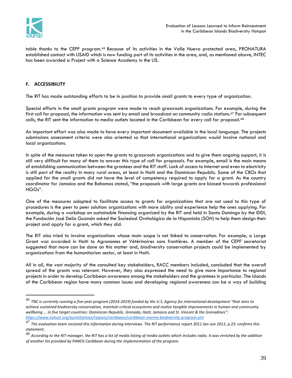

 $\overline{a}$ 

table thanks to the CEPF program.<sup>46</sup> Because of its activities in the Valle Nuevo protected area, PRONATURA established contact with USAID which is now funding part of its activities in the area, and, as mentioned above, INTEC has been awarded a Project with a Science Academy in the US.

# **F. ACCESSIBILITY**

The RIT has made outstanding efforts to be in position to provide small grants to every type of organization.

Special efforts in the small grants program were made to reach grassroots organizations. For example, during the first call for proposal, the information was sent by email and broadcast on community radio stations.<sup>47</sup> For subsequent calls, the RIT sent the information to media outlets located in the Caribbean for every call for proposal.<sup>48</sup>

An important effort was also made to have every important document available in the local language. The projects submissions assessment criteria were also oriented so that international organizations would involve national and local organizations.

In spite of the measures taken to open the grants to grassroots organizations and to give them ongoing support, it is still very difficult for many of them to answer this type of call for proposals. For example, email is the main means of establishing communication between the grantees and the RIT staff. Lack of access to Internet and even to electricity is still part of the reality in many rural areas, at least in Haiti and the Dominican Republic. Some of the CBOs that applied for the small grants did not have the level of competency required to apply for a grant. As the country coordinator for Jamaica and the Bahamas stated, "the proposals with large grants are biased towards professional NGOs".

One of the measures adopted to facilitate access to grants for organizations that are not used to this type of procedures is the peer to peer solution: organizations with more ability and experience help the ones applying. For example, during a workshop on sustainable financing organized by the RIT and held in Santo Domingo by the IDDI, the Fundación José Delio Guzmán asked the Sociedad Ornitológica de la Hispaniola (SOH) to help them design their project and apply for a grant, which they did.

The RIT also tried to involve organizations whose main scope is not linked to conservation. For example, a Large Grant was awarded in Haiti to Agronomes et Vétérinaires sans frontières. A member of the CEPF secretariat suggested that more can be done on this matter and, biodiversity conservation projects could be implemented by organizations from the humanitarian sector, at least in Haiti.

All in all, the vast majority of the consulted key stakeholders, RACC members included, concluded that the overall spread of the grants was relevant. However, they also expressed the need to give more importance to regional projects in order to develop Caribbean awareness among the stakeholders and the grantees in particular. The islands of the Caribbean region have many common issues and developing regional awareness can be a way of building

<sup>46</sup> *TNC is currently running a five-year program (2014-2019) funded by the U.S. Agency for international development "that aims to achieve sustained biodiversity conservation, maintain critical ecosystems and realize tangible improvements in human and community wellbeing ... in five target countries[: Dominican Republic,](https://www.nature.org/ourinitiatives/regions/caribbean/dominicanrepublic/index.htm) [Grenada,](https://www.nature.org/ourinitiatives/regions/caribbean/easterncaribbean/index.htm) [Haiti,](https://www.nature.org/ourinitiatives/regions/caribbean/haiti/index.htm) [Jamaica](https://www.nature.org/ourinitiatives/regions/caribbean/jamaica/index.htm) and [St. Vincent & the Grenadines](https://www.nature.org/ourinitiatives/regions/caribbean/easterncaribbean/index.htm)": <https://www.nature.org/ourinitiatives/regions/caribbean/caribbean-marine-biodiversity-program.xml>*

<sup>47</sup> *The evaluation team received this information during interviews. The RIT performance report 2011 Jan-Jun 2011; p.23. confirms this statement.*

<sup>48</sup> *According to the RIT manager, the RIT has a list of media listing of media outlets which includes radio. It was enriched by the addition of another list provided by PANOS Caribbean during the implementation of the program.*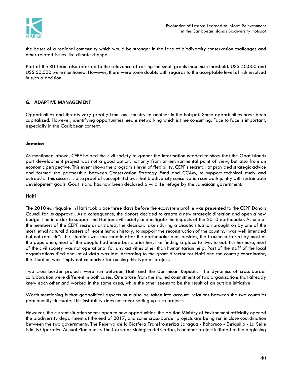

the bases of a regional community which would be stronger in the face of biodiversity conservation challenges and other related issues like climate change.

Part of the RIT team also referred to the relevance of raising the small grants maximum threshold. US\$ 40,000 and US\$ 50,000 were mentioned. However, there were some doubts with regards to the acceptable level of risk involved in such a decision.

# **G. ADAPTIVE MANAGEMENT**

Opportunities and threats vary greatly from one country to another in the hotspot. Some opportunities have been capitalized. However, identifying opportunities means networking which is time consuming. Face to face is important, especially in the Caribbean context.

#### **Jamaica**

As mentioned above, CEPF helped the civil society to gather the information needed to show that the Goat Islands port development project was not a good option, not only from an environmental point of view, but also from an economic perspective. This event shows the program´s level of flexibility. CEPF's secretariat provided strategic advice and formed the partnership between Conservation Strategy Fund and CCAM, to support technical study and outreach. This success is also proof of concept: it shows that biodiversity conservation can work jointly with sustainable development goals. Goat Island has now been declared a wildlife refuge by the Jamaican government.

#### **Haiti**

The 2010 earthquake in Haiti took place three days before the ecosystem profile was presented to the CEPF Donors Council for its approval. As a consequence, the donors decided to create a new strategic direction and open a new budget line in order to support the Haitian civil society and mitigate the impacts of the 2010 earthquake. As one of the members of the CEPF secretariat stated, the decision, taken during a chaotic situation brought on by one of the most lethal natural disasters of recent human history, to support the reconstruction of the country, "was well intended but not realistic". The situation was too chaotic after the earthquake and, besides, the trauma suffered by most of the population, most of the people had more basic priorities, like finding a place to live, to eat. Furthermore, most of the civil society was not operational for any activities other than humanitarian help. Part of the staff of the local organizations died and lot of data was lost. According to the grant director for Haiti and the country coordinator, the situation was simply not conducive for running this type of project.

Two cross-border projects were run between Haiti and the Dominican Republic. The dynamics of cross-border collaboration were different in both cases. One arose from the shared commitment of two organizations that already knew each other and worked in the same area, while the other seems to be the result of an outside initiative.

Worth mentioning is that geopolitical aspects must also be taken into account: relations between the two countries permanently fluctuate. This instability does not favor setting up such projects.

However, the current situation seems open to new opportunities: the Haitian Ministry of Environment officially opened the biodiversity department at the end of 2017, and some cross-border projects are being run in close coordination between the two governments. The Reserva de la Biosfera Transfronteriza Jaragua - Bahoruco - Enriquillo - La Selle is in its Operative Annual Plan phase. The Corredor Biológico del Caribe, is another project initiated at the beginning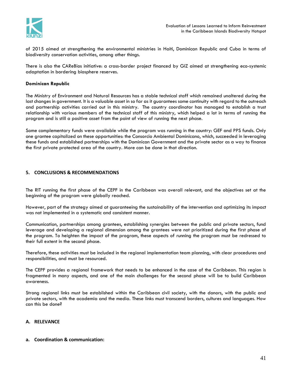

of 2015 aimed at strengthening the environmental ministries in Haiti, Dominican Republic and Cuba in terms of biodiversity conservation activities, among other things.

There is also the CAReBios initiative: a cross-border project financed by GIZ aimed at strengthening eco-systemic adaptation in bordering biosphere reserves.

#### **Dominican Republic**

The Ministry of Environment and Natural Resources has a stable technical staff which remained unaltered during the last changes in government. It is a valuable asset in so far as it guarantees some continuity with regard to the outreach and partnership activities carried out in this ministry. The country coordinator has managed to establish a trust relationship with various members of the technical staff of this ministry, which helped a lot in terms of running the program and is still a positive asset from the point of view of running the next phase.

Some complementary funds were available while the program was running in the country: GEF and PPS funds. Only one grantee capitalized on these opportunities: the Consorcio Ambiental Dominicano, which, succeeded in leveraging these funds and established partnerships with the Dominican Government and the private sector as a way to finance the first private protected area of the country. More can be done in that direction.

#### **5. CONCLUSIONS & RECOMMENDATIONS**

The RIT running the first phase of the CEPF in the Caribbean was overall relevant, and the objectives set at the beginning of the program were globally reached.

However, part of the strategy aimed at guaranteeing the sustainability of the intervention and optimizing its impact was not implemented in a systematic and consistent manner.

Communication, partnerships among grantees, establishing synergies between the public and private sectors, fund leverage and developing a regional dimension among the grantees were not prioritized during the first phase of the program. To heighten the impact of the program, these aspects of running the program must be redressed to their full extent in the second phase.

Therefore, these activities must be included in the regional implementation team planning, with clear procedures and responsibilities, and must be resourced.

The CEPF provides a regional framework that needs to be enhanced in the case of the Caribbean. This region is fragmented in many aspects, and one of the main challenges for the second phase will be to build Caribbean awareness.

Strong regional links must be established within the Caribbean civil society, with the donors, with the public and private sectors, with the academia and the media. These links must transcend borders, cultures and languages. How can this be done?

#### **A. RELEVANCE**

#### **a. Coordination & communication:**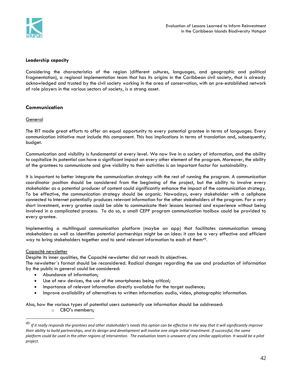

## **Leadership capacity**

Considering the characteristics of the region (different cultures, languages, and geographic and political fragmentation), a regional implementation team that has its origins in the Caribbean civil society, that is already acknowledged and trusted by the civil society working in the area of conservation, with an pre-established network of role players in the various sectors of society, is a strong asset.

# **Communication**

# **General**

The RIT made great efforts to offer an equal opportunity to every potential grantee in terms of languages. Every communication initiative must include this component. This has implications in terms of translation and, subsequently, budget.

Communication and visibility is fundamental at every level. We now live in a society of information, and the ability to capitalize its potential can have a significant impact on every other element of the program. Moreover, the ability of the grantees to communicate and give visibility to their activities is an important factor for sustainability.

It is important to better integrate the communication strategy with the rest of running the program. A communication coordinator position should be considered from the beginning of the project, but the ability to involve every stakeholder as a potential producer of content could significantly enhance the impact of the communication strategy. To be effective, the communication strategy should be organic. Nowadays, every stakeholder with a cellphone connected to Internet potentially produces relevant information for the other stakeholders of the program. For a very short investment, every grantee could be able to communicate their lessons learned and experience without being involved in a complicated process. To do so, a small CEPF program communication toolbox could be provided to every grantee.

Implementing a multilingual communication platform (maybe an app) that facilitates communication among stakeholders as well as identifies potential partnerships might be an idea: it can be a very effective and efficient way to bring stakeholders together and to send relevant information to each of them<sup>49</sup>.

#### Capacité newsletter

 $\overline{a}$ 

Despite its inner qualities, the Capacité newsletter did not reach its objectives.

The newsletter´s format should be reconsidered. Radical changes regarding the use and production of information by the public in general could be considered:

- Abundance of information;
- Use of new devices, the use of the smartphones being critical;
- Importance of relevant information directly available for the target audience;
- Improve availability of alternatives to written information: audio, video, photographic information.

Also, how the various types of potential users customarily use information should be addressed:

o CBO's members;

<sup>49</sup> *<sup>I</sup>f it really responds the grantees and other stakeholder's needs this option can be effective in the way that it will significantly improve their ability to build partnerships, and its design and development will involve one single initial investment. If successful, the same platform could be used in the other regions of intervention. The evaluation team is unaware of any similar application. It would be a pilot project.*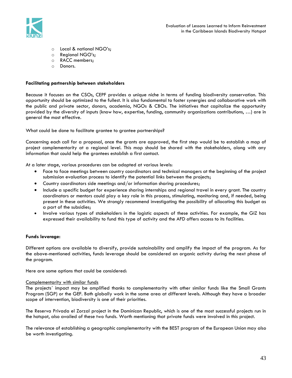

- o Local & national NGO's;
- o Regional NGO's;
- o RACC members;
- o Donors.

## **Facilitating partnership between stakeholders**

Because it focuses on the CSOs, CEPF provides a unique niche in terms of funding biodiversity conservation. This opportunity should be optimized to the fullest. It is also fundamental to foster synergies and collaborative work with the public and private sector, donors, academia, NGOs & CBOs. The initiatives that capitalize the opportunity provided by the diversity of inputs (know how, expertise, funding, community organizations contributions, …) are in general the most effective.

What could be done to facilitate grantee to grantee partnerships?

Concerning each call for a proposal, once the grants are approved, the first step would be to establish a map of project complementarity at a regional level. This map should be shared with the stakeholders, along with any information that could help the grantees establish a first contact.

At a later stage, various procedures can be adopted at various levels:

- Face to face meetings between country coordinators and technical managers at the beginning of the project submission evaluation process to identify the potential links between the projects;
- Country coordinators side meetings and/or information sharing procedures;
- Include a specific budget for experience sharing internships and regional travel in every grant. The country coordinators or mentors could play a key role in this process, stimulating, monitoring and, if needed, being present in these activities. We strongly recommend investigating the possibility of allocating this budget as a part of the subsidies;
- Involve various types of stakeholders in the logistic aspects of these activities. For example, the GIZ has expressed their availability to fund this type of activity and the AFD offers access to its facilities.

# **Funds leverage:**

Different options are available to diversify, provide sustainability and amplify the impact of the program. As for the above-mentioned activities, funds leverage should be considered an organic activity during the next phase of the program.

Here are some options that could be considered:

# Complementarity with similar funds

The projects´ impact may be amplified thanks to complementarity with other similar funds like the Small Grants Program (SGP) or the GEF. Both globally work in the same area at different levels. Although they have a broader scope of intervention, biodiversity is one of their priorities.

The Reserva Privada el Zorzal project in the Dominican Republic, which is one of the most successful projects run in the hotspot, also availed of these two funds. Worth mentioning that private funds were involved in this project.

The relevance of establishing a geographic complementarity with the BEST program of the European Union may also be worth investigating.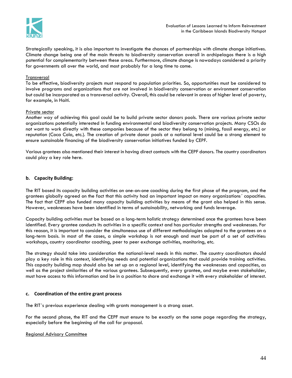

Strategically speaking, it is also important to investigate the chances of partnerships with climate change initiatives. Climate change being one of the main threats to biodiversity conservation overall in archipelagos there is a high potential for complementarity between these areas. Furthermore, climate change is nowadays considered a priority for governments all over the world, and most probably for a long time to come.

#### Transversal

To be effective, biodiversity projects must respond to population priorities. So, opportunities must be considered to involve programs and organizations that are not involved in biodiversity conservation or environment conservation but could be incorporated as a transversal activity. Overall, this could be relevant in areas of higher level of poverty, for example, in Haiti.

#### Private sector

Another way of achieving this goal could be to build private sector donors pools. There are various private sector organizations potentially interested in funding environmental and biodiversity conservation projects. Many CSOs do not want to work directly with these companies because of the sector they belong to (mining, fossil energy, etc.) or reputation (Coca Cola, etc.). The creation of private donor pools at a national level could be a strong element to ensure sustainable financing of the biodiversity conservation initiatives funded by CEPF.

Various grantees also mentioned their interest in having direct contacts with the CEPF donors. The country coordinators could play a key role here.

#### **b. Capacity Building:**

The RIT based its capacity building activities on one-on-one coaching during the first phase of the program, and the grantees globally agreed on the fact that this activity had an important impact on many organizations´ capacities. The fact that CEPF also funded many capacity building activities by means of the grant also helped in this sense. However, weaknesses have been identified in terms of sustainability, networking and funds leverage.

Capacity building activities must be based on a long-term holistic strategy determined once the grantees have been identified. Every grantee conducts its activities in a specific context and has particular strengths and weaknesses. For this reason, it is important to consider the simultaneous use of different methodologies adapted to the grantees on a long-term basis. In most of the cases, a simple workshop is not enough and must be part of a set of activities: workshops, country coordinator coaching, peer to peer exchange activities, monitoring, etc.

The strategy should take into consideration the national-level needs in this matter. The country coordinators should play a key role in this context, identifying needs and potential organizations that could provide training activities. This capacity building map should also be set up on a regional level, identifying the weaknesses and capacities, as well as the project similarities of the various grantees. Subsequently, every grantee, and maybe even stakeholder, must have access to this information and be in a position to share and exchange it with every stakeholder of interest.

#### **c. Coordination of the entire grant process**

The RIT´s previous experience dealing with grants management is a strong asset.

For the second phase, the RIT and the CEPF must ensure to be exactly on the same page regarding the strategy, especially before the beginning of the call for proposal.

#### Regional Advisory Committee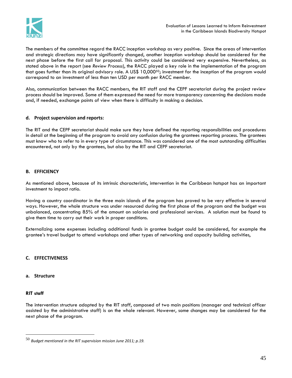

The members of the committee regard the RACC inception workshop as very positive. Since the areas of intervention and strategic directions may have significantly changed, another inception workshop should be considered for the next phase before the first call for proposal. This activity could be considered very expensive. Nevertheless, as stated above in the report (see *Review Process*), the RACC played a key role in the implementation of the program that goes further than its original advisory role. A US\$ 10,000<sup>50</sup>; investment for the inception of the program would correspond to an investment of less than ten USD per month per RACC member.

Also, communication between the RACC members, the RIT staff and the CEPF secretariat during the project review process should be improved. Some of them expressed the need for more transparency concerning the decisions made and, if needed, exchange points of view when there is difficulty in making a decision.

# **d. Project supervision and reports:**

The RIT and the CEPF secretariat should make sure they have defined the reporting responsibilities and procedures in detail at the beginning of the program to avoid any confusion during the grantees reporting process. The grantees must know who to refer to in every type of circumstance. This was considered one of the most outstanding difficulties encountered, not only by the grantees, but also by the RIT and CEPF secretariat.

# **B. EFFICIENCY**

As mentioned above, because of its intrinsic characteristic, intervention in the Caribbean hotspot has an important investment to impact ratio.

Having a country coordinator in the three main islands of the program has proved to be very effective in several ways. However, the whole structure was under resourced during the first phase of the program and the budget was unbalanced, concentrating 85% of the amount on salaries and professional services. A solution must be found to give them time to carry out their work in proper conditions.

Externalizing some expenses including additional funds in grantee budget could be considered, for example the grantee's travel budget to attend workshops and other types of networking and capacity building activities,

#### **C. EFFECTIVENESS**

#### **a. Structure**

#### **RIT staff**

 $\overline{a}$ 

The intervention structure adopted by the RIT staff, composed of two main positions (manager and technical officer assisted by the administrative staff) is on the whole relevant. However, some changes may be considered for the next phase of the program.

<sup>50</sup> *Budget mentioned in the RIT supervision mission June 2011; p.19.*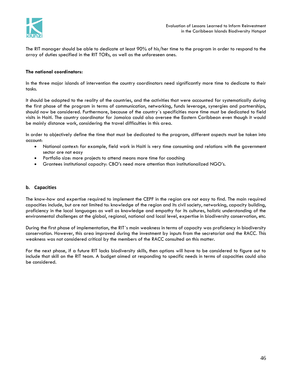

The RIT manager should be able to dedicate at least 90% of his/her time to the program in order to respond to the array of duties specified in the RIT TORs, as well as the unforeseen ones.

#### **The national coordinators:**

In the three major islands of intervention the country coordinators need significantly more time to dedicate to their tasks.

It should be adapted to the reality of the countries, and the activities that were accounted for systematically during the first phase of the program in terms of communication, networking, funds leverage, synergies and partnerships, should now be considered. Furthermore, because of the country´s specificities more time must be dedicated to field visits in Haiti. The country coordinator for Jamaica could also oversee the Eastern Caribbean even though it would be mainly distance work, considering the travel difficulties in this area.

In order to objectively define the time that must be dedicated to the program, different aspects must be taken into account:

- National context: for example, field work in Haiti is very time consuming and relations with the government sector are not easy
- Portfolio size: more projects to attend means more time for coaching
- Grantees institutional capacity: CBO's need more attention than institutionalized NGO's.

#### **b. Capacities**

The know-how and expertise required to implement the CEPF in the region are not easy to find. The main required capacities include, but are not limited to: knowledge of the region and its civil society, networking, capacity building, proficiency in the local languages as well as knowledge and empathy for its cultures, holistic understanding of the environmental challenges at the global, regional, national and local level, expertise in biodiversity conservation, etc.

During the first phase of implementation, the RIT´s main weakness in terms of capacity was proficiency in biodiversity conservation. However, this area improved during the investment by inputs from the secretariat and the RACC. This weakness was not considered critical by the members of the RACC consulted on this matter.

For the next phase, if a future RIT lacks biodiversity skills, then options will have to be considered to figure out to include that skill on the RIT team. A budget aimed at responding to specific needs in terms of capacities could also be considered.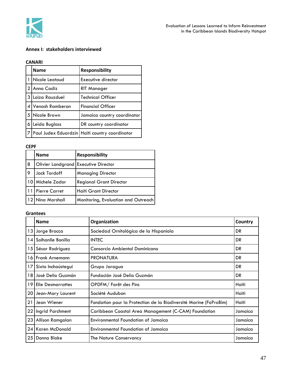

# **Annex I: stakeholders interviewed**

#### **CANARI**

|                | <b>Name</b>      | <b>Responsibility</b>                          |
|----------------|------------------|------------------------------------------------|
| $\mathbf{1}$   | Nicole Leotaud   | Executive director                             |
| $\mathcal{P}$  | LAnna Cadiz      | RIT Manager                                    |
|                | 3 Loiza Rauzduel | <b>Technical Officer</b>                       |
| $\overline{4}$ | Venash Ramberan  | <b>Financial Officer</b>                       |
| 5              | Nicole Brown     | Jamaica country coordinator                    |
| 6 I            | Leida Buglass    | DR country coordinator                         |
|                |                  | Paul Judex Eduardzin Haïti country coordinator |

#### **CEPF**

|    | <b>Name</b>                          | <b>Responsibility</b>               |
|----|--------------------------------------|-------------------------------------|
| 8  | Olivier Landgrand Executive Director |                                     |
| 9  | Jack Tordoff                         | <b>Managing Director</b>            |
| 10 | Michele Zador                        | <b>Regional Grant Director</b>      |
|    | <b>Pierre Carret</b>                 | Haïti Grant Director                |
|    | 12 Nina Marshall                     | Monitoring, Evaluation and Outreach |

# **Grantees**

|    | <b>Name</b>              | Organization                                                      | Country |
|----|--------------------------|-------------------------------------------------------------------|---------|
|    | 13 Jorge Brocca          | Sociedad Ornitológica de la Hispaniola                            | DR      |
| 14 | Solhanlle Bonilla        | <b>INTEC</b>                                                      | DR.     |
|    | 15 Sésar Rodríguez       | Consorcio Ambiental Dominicano                                    | DR      |
|    | 16 Frank Arnemann        | <b>PRONATURA</b>                                                  | DR      |
| 17 | Sixto Inchaústegui       | Grupo Jaragua                                                     | DR.     |
|    | 18 I José Delio Guzmán   | Fundación José Delio Guzmán                                       | DR.     |
| 19 | <b>Elie Desmarrattes</b> | OPDFM/Forêt des Pins                                              | Haïti   |
|    | 20 Jean-Mary Laurent     | Société Audubon                                                   | Haïti   |
| 21 | Jean Wiener              | Fondation pour la Protection de la Biodiversité Marine (FoProBim) | Haïti   |
| 22 | Ingrid Parchment         | Caribbean Coastal Area Management (C-CAM) Foundation              | Jamaica |
|    | 23 Allison Ramgolan      | <b>Environmental Foundation of Jamaica</b>                        | Jamaica |
|    | 24 Karen McDonald        | Environmental Foundation of Jamaica                               | Jamaica |
| 25 | Donna Blake              | The Nature Conservancy                                            | Jamaica |